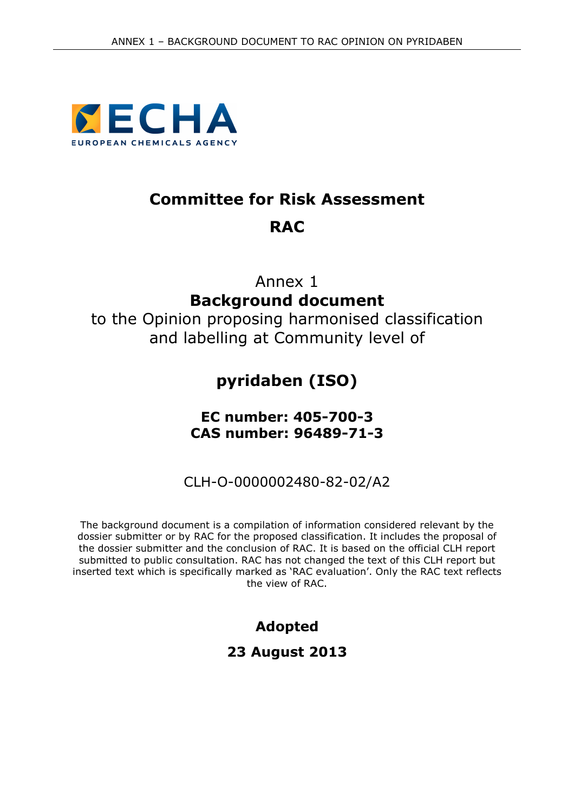

# **Committee for Risk Assessment RAC**

# Annex 1 **Background document**

to the Opinion proposing harmonised classification and labelling at Community level of

# **pyridaben (ISO)**

## **EC number: 405-700-3 CAS number: 96489-71-3**

CLH-O-0000002480-82-02/A2

The background document is a compilation of information considered relevant by the dossier submitter or by RAC for the proposed classification. It includes the proposal of the dossier submitter and the conclusion of RAC. It is based on the official CLH report submitted to public consultation. RAC has not changed the text of this CLH report but inserted text which is specifically marked as 'RAC evaluation'. Only the RAC text reflects the view of RAC.

> **Adopted 23 August 2013**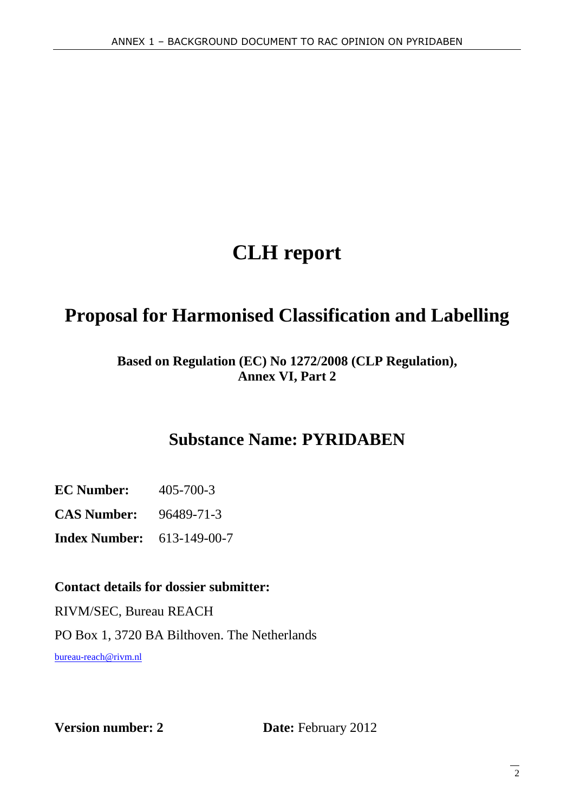# **CLH report**

# **Proposal for Harmonised Classification and Labelling**

## **Based on Regulation (EC) No 1272/2008 (CLP Regulation), Annex VI, Part 2**

# **Substance Name: PYRIDABEN**

**EC Number:** 405-700-3

**CAS Number:** 96489-71-3

**Index Number:** 613-149-00-7

### **Contact details for dossier submitter:**

RIVM/SEC, Bureau REACH PO Box 1, 3720 BA Bilthoven. The Netherlands bureau-reach@rivm.nl

**Version number: 2** Date: February 2012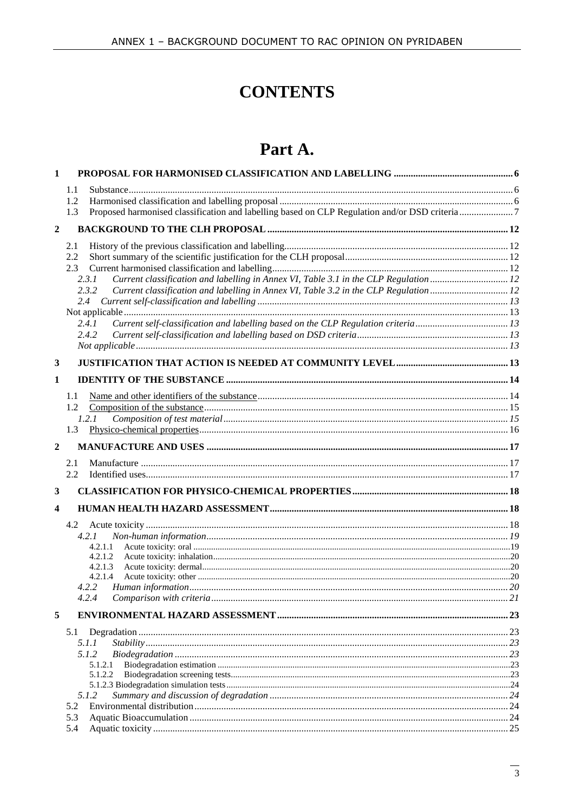# **CONTENTS**

# Part A.

| $\mathbf{1}$   |                                                                                                |  |
|----------------|------------------------------------------------------------------------------------------------|--|
|                | 1.1                                                                                            |  |
|                | 1.2                                                                                            |  |
|                | 1.3                                                                                            |  |
| $\overline{2}$ |                                                                                                |  |
|                | 2.1                                                                                            |  |
|                | 2.2                                                                                            |  |
|                | 2.3                                                                                            |  |
|                | Current classification and labelling in Annex VI, Table 3.1 in the CLP Regulation  12<br>2.3.1 |  |
|                | 2.3.2<br>Current classification and labelling in Annex VI, Table 3.2 in the CLP Regulation 12  |  |
|                | 2.4                                                                                            |  |
|                |                                                                                                |  |
|                | Current self-classification and labelling based on the CLP Regulation criteria13<br>2.4.1      |  |
|                | 2.4.2                                                                                          |  |
|                |                                                                                                |  |
| 3              |                                                                                                |  |
| 1              |                                                                                                |  |
|                | 1.1                                                                                            |  |
|                | 1.2                                                                                            |  |
|                | 1.2.1                                                                                          |  |
|                | 1.3                                                                                            |  |
| $\mathbf 2$    |                                                                                                |  |
|                | 2.1                                                                                            |  |
|                | 2.2                                                                                            |  |
| 3              |                                                                                                |  |
| 4              |                                                                                                |  |
|                | 4.2                                                                                            |  |
|                | 4.2.1                                                                                          |  |
|                | 4.2.1.1                                                                                        |  |
|                | 4.2.1.2                                                                                        |  |
|                | 4.2.1.3                                                                                        |  |
|                | 4.2.1.4                                                                                        |  |
|                | 4.2.2                                                                                          |  |
|                |                                                                                                |  |
| 5              |                                                                                                |  |
|                | 5.1                                                                                            |  |
|                | 5.1.1                                                                                          |  |
|                | 5.1.2                                                                                          |  |
|                | 5.1.2.1                                                                                        |  |
|                | 5.1.2.2                                                                                        |  |
|                | 5.1.2                                                                                          |  |
|                | 5.2                                                                                            |  |
|                | 5.3                                                                                            |  |
|                | 5.4                                                                                            |  |
|                |                                                                                                |  |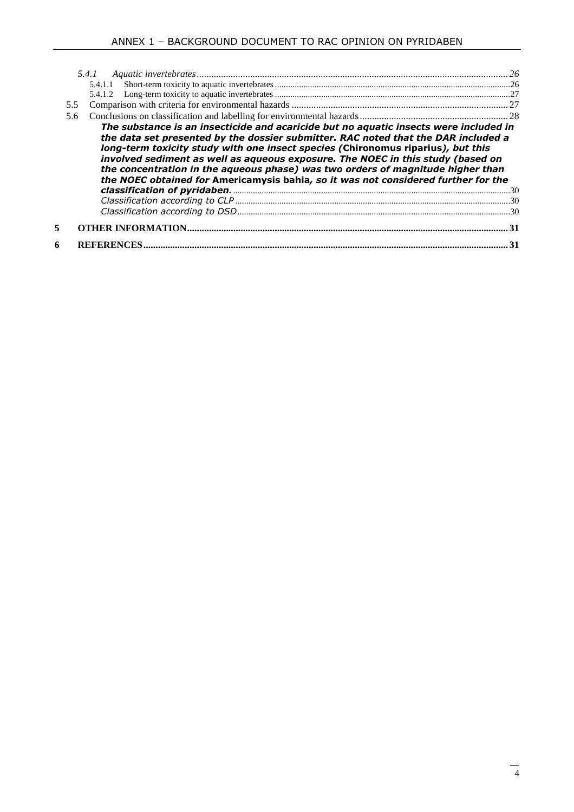| 5.5 |                                                                                                                                                                                                                                                                                                                                              |  |
|-----|----------------------------------------------------------------------------------------------------------------------------------------------------------------------------------------------------------------------------------------------------------------------------------------------------------------------------------------------|--|
| 5.6 |                                                                                                                                                                                                                                                                                                                                              |  |
|     | long-term toxicity study with one insect species (Chironomus riparius), but this<br>involved sediment as well as aqueous exposure. The NOEC in this study (based on<br>the concentration in the aqueous phase) was two orders of magnitude higher than<br>the NOEC obtained for Americamysis bahia, so it was not considered further for the |  |
|     |                                                                                                                                                                                                                                                                                                                                              |  |
| 5   |                                                                                                                                                                                                                                                                                                                                              |  |
| 6   |                                                                                                                                                                                                                                                                                                                                              |  |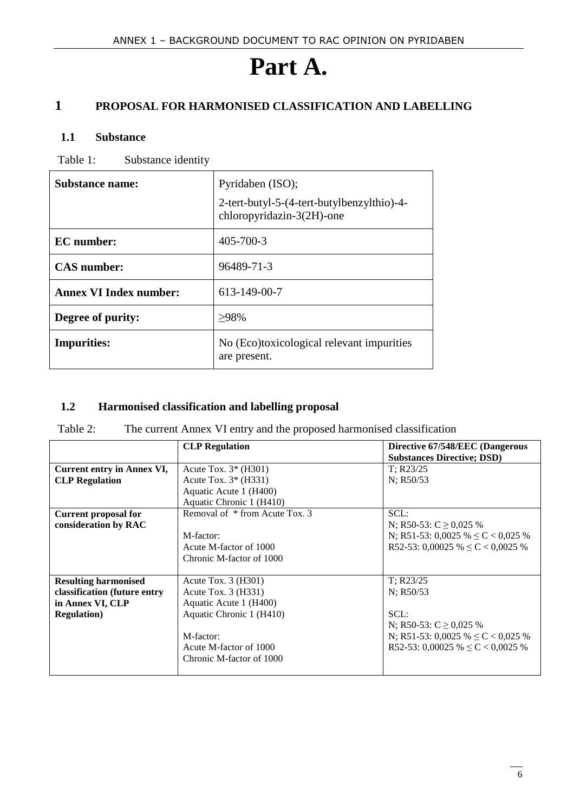# **Part A.**

## **1 PROPOSAL FOR HARMONISED CLASSIFICATION AND LABELLING**

#### **1.1 Substance**

Table 1: Substance identity

| <b>Substance name:</b>        | Pyridaben (ISO);                                                        |
|-------------------------------|-------------------------------------------------------------------------|
|                               | 2-tert-butyl-5-(4-tert-butylbenzylthio)-4-<br>chloropyridazin-3(2H)-one |
| <b>EC</b> number:             | 405-700-3                                                               |
| <b>CAS</b> number:            | 96489-71-3                                                              |
| <b>Annex VI Index number:</b> | 613-149-00-7                                                            |
| Degree of purity:             | $>98\%$                                                                 |
| <b>Impurities:</b>            | No (Eco)toxicological relevant impurities<br>are present.               |

#### **1.2 Harmonised classification and labelling proposal**

Table 2: The current Annex VI entry and the proposed harmonised classification

|                              | <b>CLP</b> Regulation          | Directive 67/548/EEC (Dangerous<br><b>Substances Directive; DSD)</b> |
|------------------------------|--------------------------------|----------------------------------------------------------------------|
| Current entry in Annex VI,   | Acute Tox. $3*(H301)$          | $T$ ; R23/25                                                         |
| <b>CLP</b> Regulation        | Acute Tox. $3*(H331)$          | N; R50/53                                                            |
|                              | Aquatic Acute 1 (H400)         |                                                                      |
|                              | Aquatic Chronic 1 (H410)       |                                                                      |
| <b>Current proposal for</b>  | Removal of * from Acute Tox. 3 | SCL:                                                                 |
| consideration by RAC         |                                | N; R50-53: C $\geq$ 0,025 %                                          |
|                              | M-factor:                      | N; R51-53: 0,0025 % $\leq C$ < 0,025 %                               |
|                              | Acute M-factor of 1000         | R52-53: 0,00025 % $\leq C < 0,0025$ %                                |
|                              | Chronic M-factor of 1000       |                                                                      |
|                              |                                |                                                                      |
| <b>Resulting harmonised</b>  | Acute Tox. $3$ (H $301$ )      | T: R23/25                                                            |
| classification (future entry | Acute Tox. $3$ (H331)          | N: R50/53                                                            |
| in Annex VI, CLP             | Aquatic Acute 1 (H400)         |                                                                      |
| <b>Regulation</b> )          | Aquatic Chronic 1 (H410)       | SCL:                                                                 |
|                              |                                | N; R50-53: C $\geq$ 0.025 %                                          |
|                              | M-factor:                      | N; R51-53: 0,0025 % $\leq C$ < 0,025 %                               |
|                              | Acute M-factor of 1000         | R52-53: 0,00025 % $\leq C < 0,0025$ %                                |
|                              | Chronic M-factor of 1000       |                                                                      |
|                              |                                |                                                                      |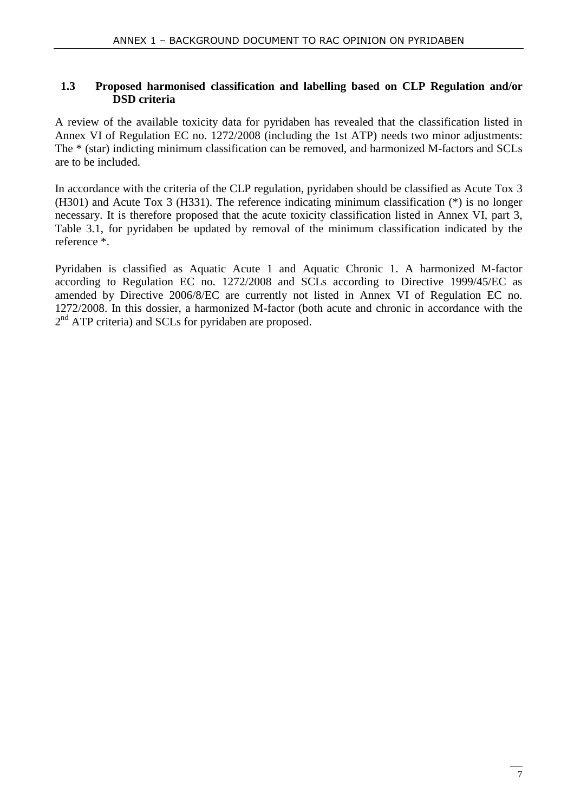#### **1.3 Proposed harmonised classification and labelling based on CLP Regulation and/or DSD criteria**

A review of the available toxicity data for pyridaben has revealed that the classification listed in Annex VI of Regulation EC no. 1272/2008 (including the 1st ATP) needs two minor adjustments: The \* (star) indicting minimum classification can be removed, and harmonized M-factors and SCLs are to be included.

In accordance with the criteria of the CLP regulation, pyridaben should be classified as Acute Tox 3 (H301) and Acute Tox 3 (H331). The reference indicating minimum classification (\*) is no longer necessary. It is therefore proposed that the acute toxicity classification listed in Annex VI, part 3, Table 3.1, for pyridaben be updated by removal of the minimum classification indicated by the reference \*.

Pyridaben is classified as Aquatic Acute 1 and Aquatic Chronic 1. A harmonized M-factor according to Regulation EC no. 1272/2008 and SCLs according to Directive 1999/45/EC as amended by Directive 2006/8/EC are currently not listed in Annex VI of Regulation EC no. 1272/2008. In this dossier, a harmonized M-factor (both acute and chronic in accordance with the 2<sup>nd</sup> ATP criteria) and SCLs for pyridaben are proposed.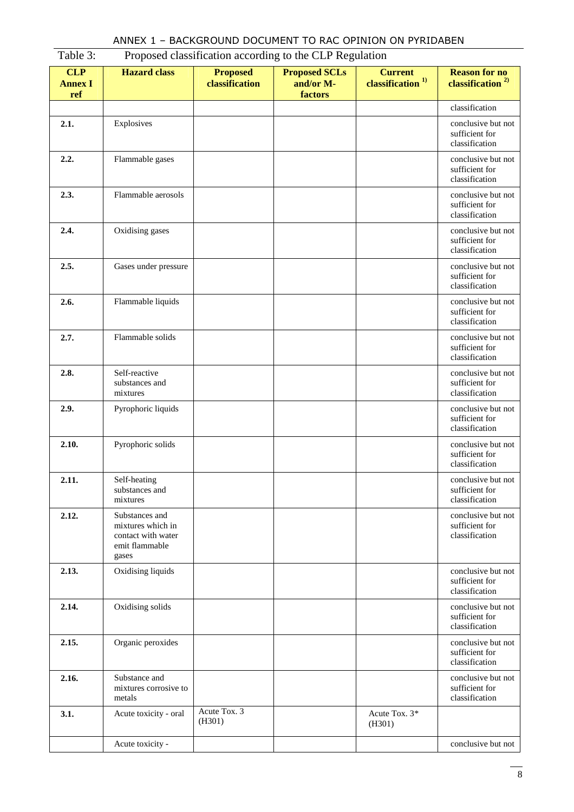| ANNEX 1 - BACKGROUND DOCUMENT TO RAC OPINION ON PYRIDABEN |  |  |  |
|-----------------------------------------------------------|--|--|--|
|-----------------------------------------------------------|--|--|--|

|                                     |                                                                                      | 110 posed enablineation according to the CEI recganition |                                              |                                                |                                                        |
|-------------------------------------|--------------------------------------------------------------------------------------|----------------------------------------------------------|----------------------------------------------|------------------------------------------------|--------------------------------------------------------|
| <b>CLP</b><br><b>Annex I</b><br>ref | <b>Hazard</b> class                                                                  | <b>Proposed</b><br>classification                        | <b>Proposed SCLs</b><br>and/or M-<br>factors | <b>Current</b><br>classification <sup>1)</sup> | <b>Reason for no</b><br>classification <sup>2)</sup>   |
|                                     |                                                                                      |                                                          |                                              |                                                | classification                                         |
| 2.1.                                | Explosives                                                                           |                                                          |                                              |                                                | conclusive but not<br>sufficient for<br>classification |
| 2.2.                                | Flammable gases                                                                      |                                                          |                                              |                                                | conclusive but not<br>sufficient for<br>classification |
| 2.3.                                | Flammable aerosols                                                                   |                                                          |                                              |                                                | conclusive but not<br>sufficient for<br>classification |
| 2.4.                                | Oxidising gases                                                                      |                                                          |                                              |                                                | conclusive but not<br>sufficient for<br>classification |
| 2.5.                                | Gases under pressure                                                                 |                                                          |                                              |                                                | conclusive but not<br>sufficient for<br>classification |
| 2.6.                                | Flammable liquids                                                                    |                                                          |                                              |                                                | conclusive but not<br>sufficient for<br>classification |
| 2.7.                                | Flammable solids                                                                     |                                                          |                                              |                                                | conclusive but not<br>sufficient for<br>classification |
| 2.8.                                | Self-reactive<br>substances and<br>mixtures                                          |                                                          |                                              |                                                | conclusive but not<br>sufficient for<br>classification |
| 2.9.                                | Pyrophoric liquids                                                                   |                                                          |                                              |                                                | conclusive but not<br>sufficient for<br>classification |
| 2.10.                               | Pyrophoric solids                                                                    |                                                          |                                              |                                                | conclusive but not<br>sufficient for<br>classification |
| 2.11.                               | Self-heating<br>substances and<br>mixtures                                           |                                                          |                                              |                                                | conclusive but not<br>sufficient for<br>classification |
| 2.12.                               | Substances and<br>mixtures which in<br>contact with water<br>emit flammable<br>gases |                                                          |                                              |                                                | conclusive but not<br>sufficient for<br>classification |
| 2.13.                               | Oxidising liquids                                                                    |                                                          |                                              |                                                | conclusive but not<br>sufficient for<br>classification |
| 2.14.                               | Oxidising solids                                                                     |                                                          |                                              |                                                | conclusive but not<br>sufficient for<br>classification |
| 2.15.                               | Organic peroxides                                                                    |                                                          |                                              |                                                | conclusive but not<br>sufficient for<br>classification |
| 2.16.                               | Substance and<br>mixtures corrosive to<br>metals                                     |                                                          |                                              |                                                | conclusive but not<br>sufficient for<br>classification |
| 3.1.                                | Acute toxicity - oral                                                                | Acute Tox. 3<br>(H301)                                   |                                              | Acute Tox. 3*<br>(H301)                        |                                                        |
|                                     | Acute toxicity -                                                                     |                                                          |                                              |                                                | conclusive but not                                     |

#### Table 3: Proposed classification according to the CLP Regulation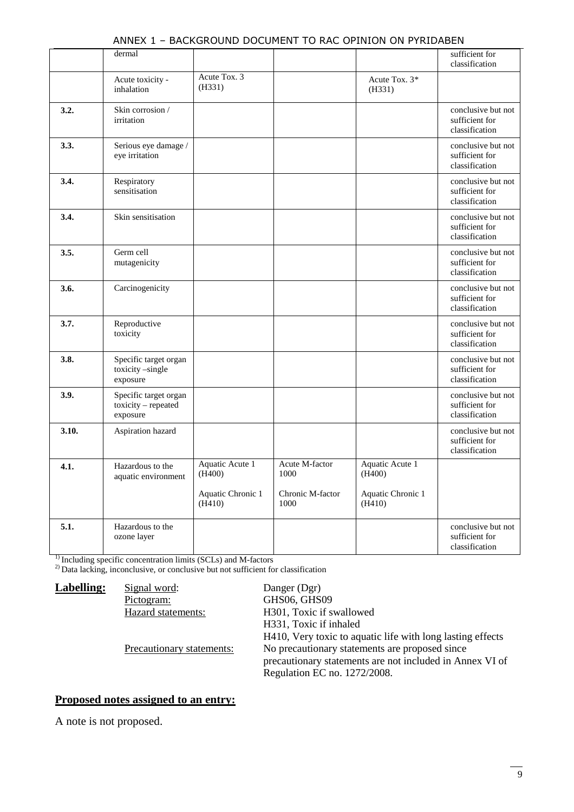|       | dermal                                                   |                             |                          |                             | sufficient for<br>classification                       |
|-------|----------------------------------------------------------|-----------------------------|--------------------------|-----------------------------|--------------------------------------------------------|
|       | Acute toxicity -<br>inhalation                           | Acute Tox. 3<br>(H331)      |                          | Acute Tox. 3*<br>(H331)     |                                                        |
| 3.2.  | Skin corrosion /<br>irritation                           |                             |                          |                             | conclusive but not<br>sufficient for<br>classification |
| 3.3.  | Serious eye damage /<br>eye irritation                   |                             |                          |                             | conclusive but not<br>sufficient for<br>classification |
| 3.4.  | Respiratory<br>sensitisation                             |                             |                          |                             | conclusive but not<br>sufficient for<br>classification |
| 3.4.  | Skin sensitisation                                       |                             |                          |                             | conclusive but not<br>sufficient for<br>classification |
| 3.5.  | Germ cell<br>mutagenicity                                |                             |                          |                             | conclusive but not<br>sufficient for<br>classification |
| 3.6.  | Carcinogenicity                                          |                             |                          |                             | conclusive but not<br>sufficient for<br>classification |
| 3.7.  | Reproductive<br>toxicity                                 |                             |                          |                             | conclusive but not<br>sufficient for<br>classification |
| 3.8.  | Specific target organ<br>toxicity-single<br>exposure     |                             |                          |                             | conclusive but not<br>sufficient for<br>classification |
| 3.9.  | Specific target organ<br>toxicity - repeated<br>exposure |                             |                          |                             | conclusive but not<br>sufficient for<br>classification |
| 3.10. | Aspiration hazard                                        |                             |                          |                             | conclusive but not<br>sufficient for<br>classification |
| 4.1.  | Hazardous to the<br>aquatic environment                  | Aquatic Acute 1<br>(H400)   | Acute M-factor<br>1000   | Aquatic Acute 1<br>(H400)   |                                                        |
|       |                                                          | Aquatic Chronic 1<br>(H410) | Chronic M-factor<br>1000 | Aquatic Chronic 1<br>(H410) |                                                        |
| 5.1.  | Hazardous to the<br>ozone layer                          |                             |                          |                             | conclusive but not<br>sufficient for<br>classification |

#### ANNEX 1 – BACKGROUND DOCUMENT TO RAC OPINION ON PYRIDABEN

<sup>1)</sup> Including specific concentration limits (SCLs) and M-factors

<sup>2)</sup> Data lacking, inconclusive, or conclusive but not sufficient for classification

**Labelling:** Signal word: Danger (Dgr)<br>Pictogram: GHS06, GHS GHS06, GHS09 Hazard statements: H301, Toxic if swallowed H331, Toxic if inhaled H410, Very toxic to aquatic life with long lasting effects Precautionary statements: No precautionary statements are proposed since precautionary statements are not included in Annex VI of Regulation EC no. 1272/2008.

#### **Proposed notes assigned to an entry:**

A note is not proposed.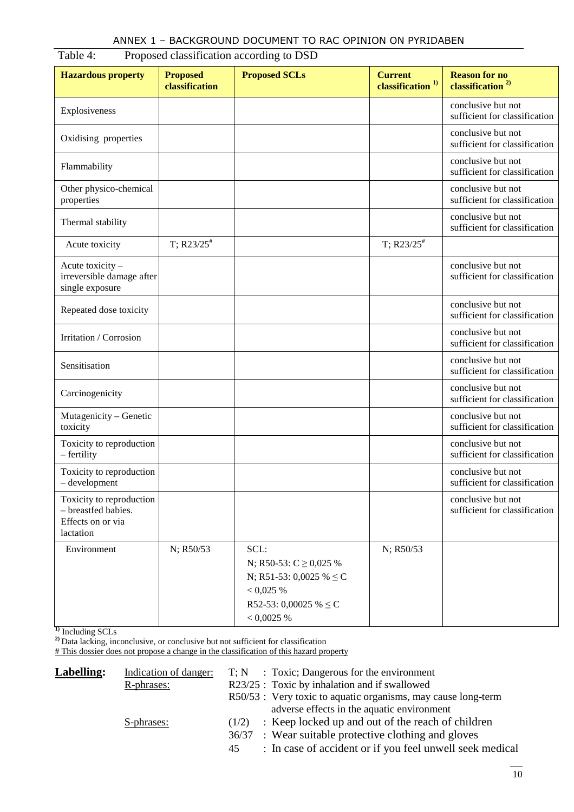| <b>Hazardous property</b>                                                         | <b>Proposed</b><br>classification | <b>Proposed SCLs</b>                                                                                                          | <b>Current</b><br>classification <sup>1)</sup> | <b>Reason for no</b><br>classification <sup>2)</sup> |
|-----------------------------------------------------------------------------------|-----------------------------------|-------------------------------------------------------------------------------------------------------------------------------|------------------------------------------------|------------------------------------------------------|
| Explosiveness                                                                     |                                   |                                                                                                                               |                                                | conclusive but not<br>sufficient for classification  |
| Oxidising properties                                                              |                                   |                                                                                                                               |                                                | conclusive but not<br>sufficient for classification  |
| Flammability                                                                      |                                   |                                                                                                                               |                                                | conclusive but not<br>sufficient for classification  |
| Other physico-chemical<br>properties                                              |                                   |                                                                                                                               |                                                | conclusive but not<br>sufficient for classification  |
| Thermal stability                                                                 |                                   |                                                                                                                               |                                                | conclusive but not<br>sufficient for classification  |
| Acute toxicity                                                                    | $T$ ; R23/25 <sup>#</sup>         |                                                                                                                               | $T$ ; R23/25 <sup>#</sup>                      |                                                      |
| Acute toxicity -<br>irreversible damage after<br>single exposure                  |                                   |                                                                                                                               |                                                | conclusive but not<br>sufficient for classification  |
| Repeated dose toxicity                                                            |                                   |                                                                                                                               |                                                | conclusive but not<br>sufficient for classification  |
| Irritation / Corrosion                                                            |                                   |                                                                                                                               |                                                | conclusive but not<br>sufficient for classification  |
| Sensitisation                                                                     |                                   |                                                                                                                               |                                                | conclusive but not<br>sufficient for classification  |
| Carcinogenicity                                                                   |                                   |                                                                                                                               |                                                | conclusive but not<br>sufficient for classification  |
| Mutagenicity - Genetic<br>toxicity                                                |                                   |                                                                                                                               |                                                | conclusive but not<br>sufficient for classification  |
| Toxicity to reproduction<br>– fertility                                           |                                   |                                                                                                                               |                                                | conclusive but not<br>sufficient for classification  |
| Toxicity to reproduction<br>$-$ development                                       |                                   |                                                                                                                               |                                                | conclusive but not<br>sufficient for classification  |
| Toxicity to reproduction<br>- breastfed babies.<br>Effects on or via<br>lactation |                                   |                                                                                                                               |                                                | conclusive but not<br>sufficient for classification  |
| Environment                                                                       | N; R50/53                         | SCL:<br>N; R50-53: $C \ge 0.025$ %<br>N; R51-53: 0,0025 % $\leq$ C<br>< 0.025 %<br>R52-53: 0,00025 % $\leq$ C<br>$< 0,0025$ % | N; R50/53                                      |                                                      |

## Table 4: Proposed classification according to DSD

**1)** Including SCLs

**2)** Data lacking, inconclusive, or conclusive but not sufficient for classification

# This dossier does not propose a change in the classification of this hazard property

| Labelling: | Indication of danger:<br>R-phrases: | $T; N$ : Toxic; Dangerous for the environment<br>R23/25 : Toxic by inhalation and if swallowed                                                                                       |
|------------|-------------------------------------|--------------------------------------------------------------------------------------------------------------------------------------------------------------------------------------|
|            |                                     | R50/53 : Very toxic to aquatic organisms, may cause long-term<br>adverse effects in the aquatic environment                                                                          |
|            | S-phrases:                          | : Keep locked up and out of the reach of children<br>(1/2)<br>36/37 : Wear suitable protective clothing and gloves<br>: In case of accident or if you feel unwell seek medical<br>45 |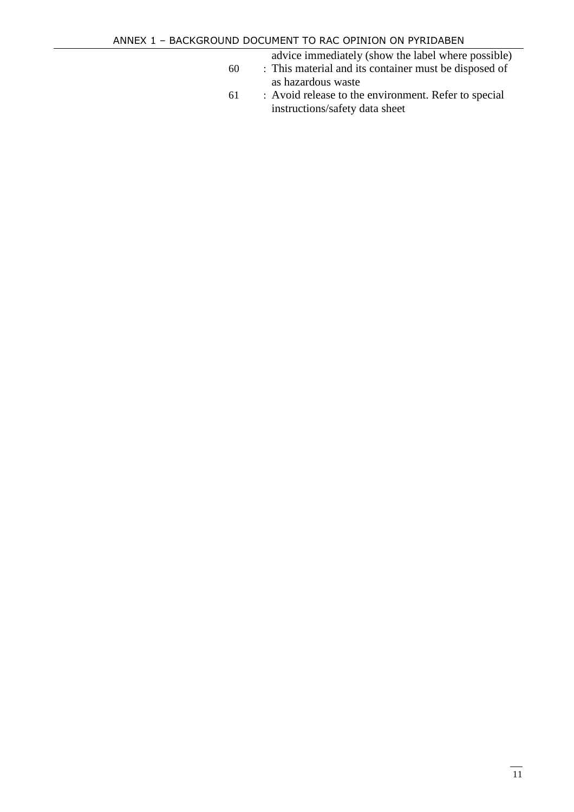advice immediately (show the label where possible)

- 60 : This material and its container must be disposed of as hazardous waste
- 61 : Avoid release to the environment. Refer to special instructions/safety data sheet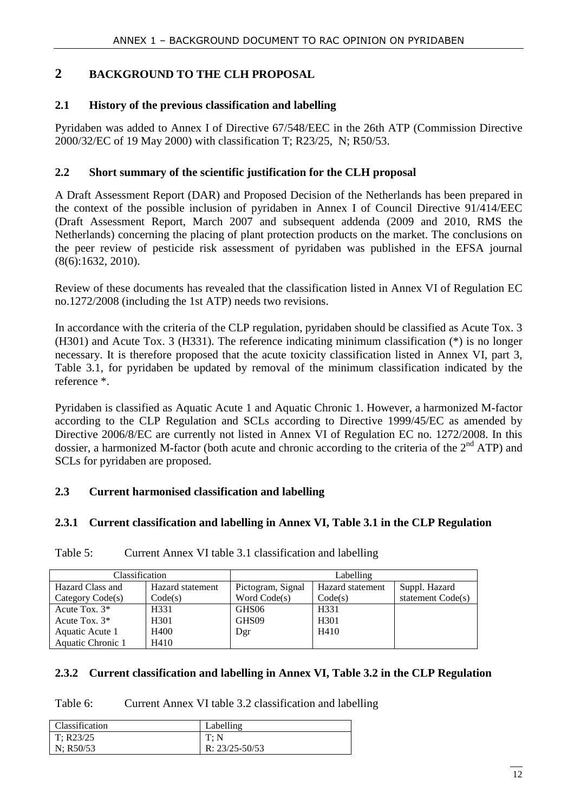#### **2 BACKGROUND TO THE CLH PROPOSAL**

#### **2.1 History of the previous classification and labelling**

Pyridaben was added to Annex I of Directive 67/548/EEC in the 26th ATP (Commission Directive 2000/32/EC of 19 May 2000) with classification T; R23/25, N; R50/53.

#### **2.2 Short summary of the scientific justification for the CLH proposal**

A Draft Assessment Report (DAR) and Proposed Decision of the Netherlands has been prepared in the context of the possible inclusion of pyridaben in Annex I of Council Directive 91/414/EEC (Draft Assessment Report, March 2007 and subsequent addenda (2009 and 2010, RMS the Netherlands) concerning the placing of plant protection products on the market. The conclusions on the peer review of pesticide risk assessment of pyridaben was published in the EFSA journal (8(6):1632, 2010).

Review of these documents has revealed that the classification listed in Annex VI of Regulation EC no.1272/2008 (including the 1st ATP) needs two revisions.

In accordance with the criteria of the CLP regulation, pyridaben should be classified as Acute Tox. 3 (H301) and Acute Tox. 3 (H331). The reference indicating minimum classification (\*) is no longer necessary. It is therefore proposed that the acute toxicity classification listed in Annex VI, part 3, Table 3.1, for pyridaben be updated by removal of the minimum classification indicated by the reference \*.

Pyridaben is classified as Aquatic Acute 1 and Aquatic Chronic 1. However, a harmonized M-factor according to the CLP Regulation and SCLs according to Directive 1999/45/EC as amended by Directive 2006/8/EC are currently not listed in Annex VI of Regulation EC no. 1272/2008. In this dossier, a harmonized M-factor (both acute and chronic according to the criteria of the 2<sup>nd</sup> ATP) and SCLs for pyridaben are proposed.

#### **2.3 Current harmonised classification and labelling**

#### **2.3.1 Current classification and labelling in Annex VI, Table 3.1 in the CLP Regulation**

| Classification     |                  |                   | Labelling        |                   |
|--------------------|------------------|-------------------|------------------|-------------------|
| Hazard Class and   | Hazard statement | Pictogram, Signal | Hazard statement | Suppl. Hazard     |
| Category $Code(s)$ | Code(s)          | Word Code(s)      | Code(s)          | statement Code(s) |
| Acute Tox. $3*$    | H331             | GHS06             | H331             |                   |
| Acute Tox. $3*$    | H <sub>301</sub> | GHS09             | H <sub>301</sub> |                   |
| Aquatic Acute 1    | H400             | Dgr               | H410             |                   |
| Aquatic Chronic 1  | H410             |                   |                  |                   |

Table 5: Current Annex VI table 3.1 classification and labelling

#### **2.3.2 Current classification and labelling in Annex VI, Table 3.2 in the CLP Regulation**

Table 6: Current Annex VI table 3.2 classification and labelling

| <b>Classification</b> | Labelling          |
|-----------------------|--------------------|
| T: R23/25             | T: N               |
| N: $R50/53$           | R: $23/25 - 50/53$ |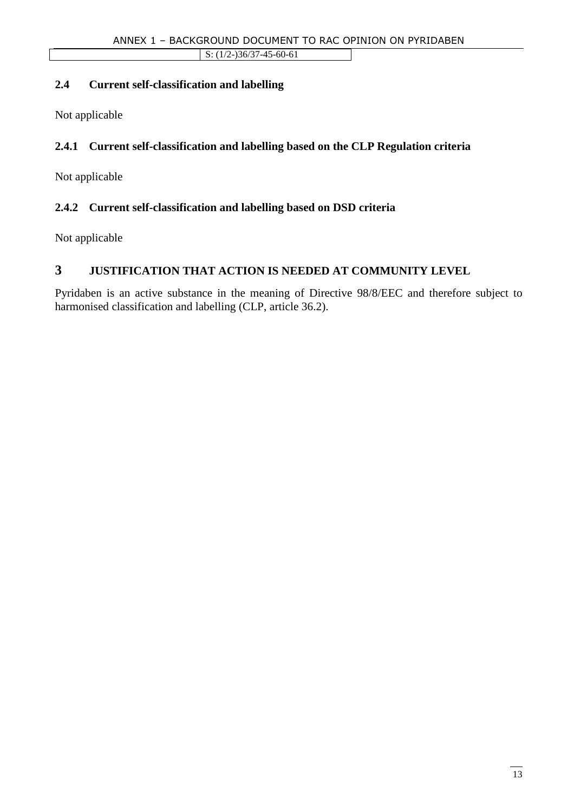#### **2.4 Current self-classification and labelling**

Not applicable

#### **2.4.1 Current self-classification and labelling based on the CLP Regulation criteria**

Not applicable

#### **2.4.2 Current self-classification and labelling based on DSD criteria**

Not applicable

### **3 JUSTIFICATION THAT ACTION IS NEEDED AT COMMUNITY LEVEL**

Pyridaben is an active substance in the meaning of Directive 98/8/EEC and therefore subject to harmonised classification and labelling (CLP, article 36.2).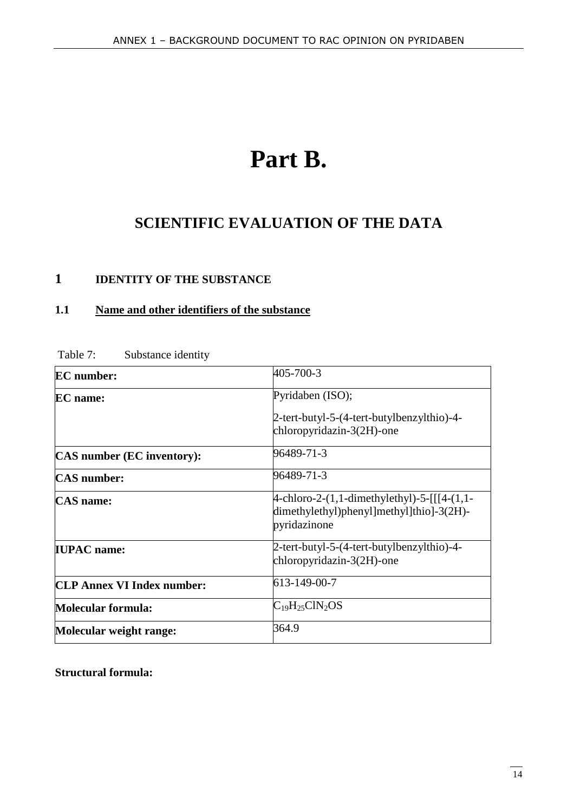# **Part B.**

# **SCIENTIFIC EVALUATION OF THE DATA**

## **1 IDENTITY OF THE SUBSTANCE**

#### **1.1 Name and other identifiers of the substance**

| <b>EC</b> number:                 | 405-700-3                                                                                                         |
|-----------------------------------|-------------------------------------------------------------------------------------------------------------------|
| <b>EC</b> name:                   | Pyridaben (ISO);                                                                                                  |
|                                   | 2-tert-butyl-5-(4-tert-butylbenzylthio)-4-<br>$chloropyridazin-3(2H)-one$                                         |
| <b>CAS</b> number (EC inventory): | 96489-71-3                                                                                                        |
| <b>CAS</b> number:                | 96489-71-3                                                                                                        |
| <b>CAS</b> name:                  | $4$ -chloro-2- $(1,1$ -dimethylethyl)-5-[[[4- $(1,1-$<br>dimethylethyl)phenyl]methyl]thio]-3(2H)-<br>pyridazinone |
| <b>IUPAC</b> name:                | 2-tert-butyl-5-(4-tert-butylbenzylthio)-4-<br>chloropyridazin-3(2H)-one                                           |
| <b>CLP Annex VI Index number:</b> | 613-149-00-7                                                                                                      |
| Molecular formula:                | $C_{19}H_{25}CIN_2OS$                                                                                             |
| Molecular weight range:           | 364.9                                                                                                             |

Table 7: Substance identity

**Structural formula:**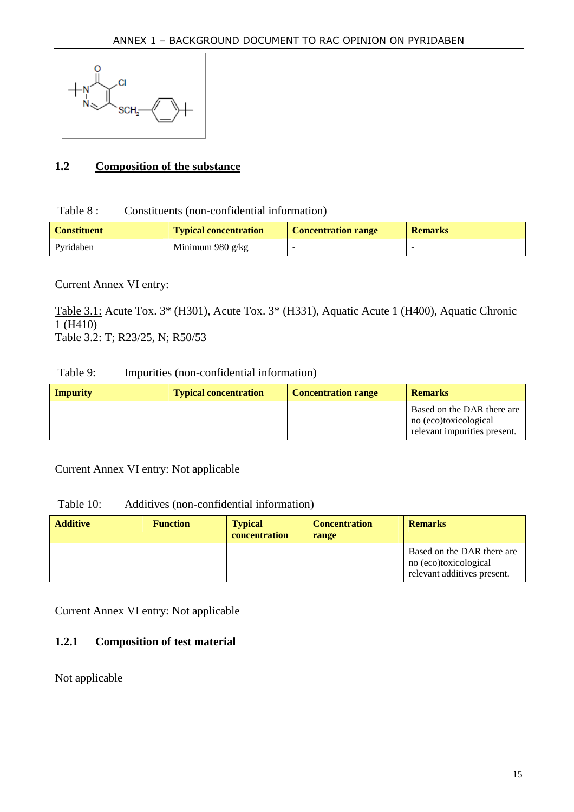

#### **1.2 Composition of the substance**

#### Table 8 : Constituents (non-confidential information)

| <b>Constituent</b> | <b>Typical concentration</b> | <b>Concentration range</b> | <b>Remarks</b> |
|--------------------|------------------------------|----------------------------|----------------|
| Pyridaben          | Minimum 980 $g/kg$           | -                          |                |

#### Current Annex VI entry:

Table 3.1: Acute Tox. 3\* (H301), Acute Tox. 3\* (H331), Aquatic Acute 1 (H400), Aquatic Chronic 1 (H410) Table 3.2: T; R23/25, N; R50/53

#### Table 9: Impurities (non-confidential information)

| <b>Impurity</b> | <b>Typical concentration</b> | <b>Concentration range</b> | <b>Remarks</b>                                                                      |
|-----------------|------------------------------|----------------------------|-------------------------------------------------------------------------------------|
|                 |                              |                            | Based on the DAR there are<br>no (eco)toxicological<br>relevant impurities present. |

Current Annex VI entry: Not applicable

| Table 10: |  | Additives (non-confidential information) |  |
|-----------|--|------------------------------------------|--|
|-----------|--|------------------------------------------|--|

| <b>Additive</b> | <b>Function</b> | <b>Typical</b><br>concentration | <b>Concentration</b><br>range | <b>Remarks</b>                                                                     |
|-----------------|-----------------|---------------------------------|-------------------------------|------------------------------------------------------------------------------------|
|                 |                 |                                 |                               | Based on the DAR there are<br>no (eco)toxicological<br>relevant additives present. |

Current Annex VI entry: Not applicable

#### **1.2.1 Composition of test material**

Not applicable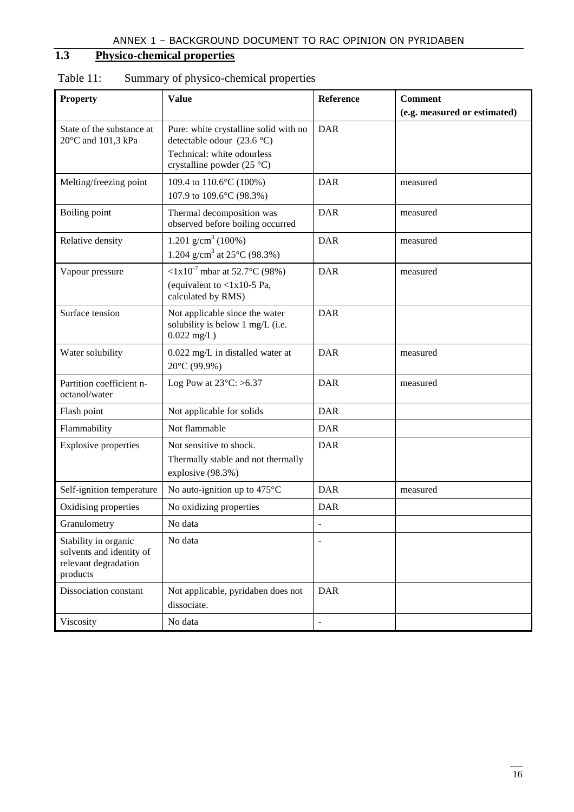## **1.3 Physico-chemical properties**

| <b>Property</b>                                                                      | <b>Value</b>                                                                                                                                    | Reference                | <b>Comment</b>               |
|--------------------------------------------------------------------------------------|-------------------------------------------------------------------------------------------------------------------------------------------------|--------------------------|------------------------------|
|                                                                                      |                                                                                                                                                 |                          | (e.g. measured or estimated) |
| State of the substance at<br>20°C and 101,3 kPa                                      | <b>DAR</b><br>Pure: white crystalline solid with no<br>detectable odour $(23.6 °C)$<br>Technical: white odourless<br>crystalline powder (25 °C) |                          |                              |
| Melting/freezing point                                                               | 109.4 to 110.6°C (100%)<br>107.9 to 109.6°C (98.3%)                                                                                             | <b>DAR</b>               | measured                     |
| Boiling point                                                                        | Thermal decomposition was<br>observed before boiling occurred                                                                                   | <b>DAR</b>               | measured                     |
| Relative density                                                                     | 1.201 g/cm <sup>3</sup> (100%)<br>1.204 g/cm <sup>3</sup> at 25 $^{\circ}$ C (98.3%)                                                            | <b>DAR</b>               | measured                     |
| Vapour pressure                                                                      | $\langle 1x10^7 \text{ mbar at } 52.7^{\circ}$ C (98%)<br>(equivalent to $<$ 1x10-5 Pa,<br>calculated by RMS)                                   | <b>DAR</b>               | measured                     |
| Surface tension                                                                      | Not applicable since the water<br>solubility is below 1 mg/L (i.e.<br>$0.022$ mg/L)                                                             | <b>DAR</b>               |                              |
| Water solubility                                                                     | 0.022 mg/L in distalled water at<br>20°C (99.9%)                                                                                                | <b>DAR</b>               | measured                     |
| Partition coefficient n-<br>octanol/water                                            | Log Pow at $23^{\circ}$ C: >6.37                                                                                                                | <b>DAR</b>               | measured                     |
| Flash point                                                                          | Not applicable for solids                                                                                                                       | <b>DAR</b>               |                              |
| Flammability                                                                         | Not flammable                                                                                                                                   | <b>DAR</b>               |                              |
| <b>Explosive properties</b>                                                          | Not sensitive to shock.<br>Thermally stable and not thermally<br>explosive (98.3%)                                                              | <b>DAR</b>               |                              |
| Self-ignition temperature                                                            | No auto-ignition up to $475^{\circ}$ C                                                                                                          | <b>DAR</b>               | measured                     |
| Oxidising properties                                                                 | No oxidizing properties                                                                                                                         | <b>DAR</b>               |                              |
| Granulometry                                                                         | No data                                                                                                                                         | $\overline{a}$           |                              |
| Stability in organic<br>solvents and identity of<br>relevant degradation<br>products | No data                                                                                                                                         | $\overline{\phantom{m}}$ |                              |
| Dissociation constant                                                                | Not applicable, pyridaben does not<br>dissociate.                                                                                               | <b>DAR</b>               |                              |
| Viscosity                                                                            | No data                                                                                                                                         | $\overline{\phantom{0}}$ |                              |

## Table 11: Summary of physico-chemical properties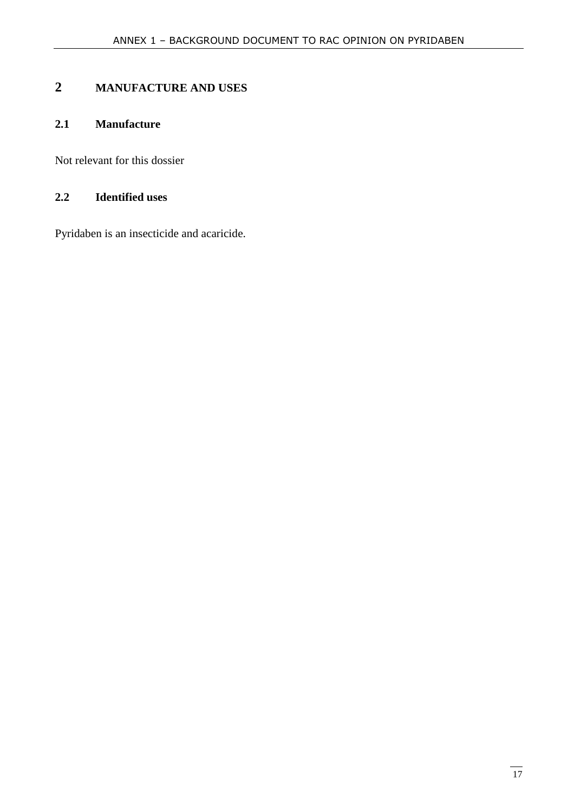## **2 MANUFACTURE AND USES**

#### **2.1 Manufacture**

Not relevant for this dossier

#### **2.2 Identified uses**

Pyridaben is an insecticide and acaricide.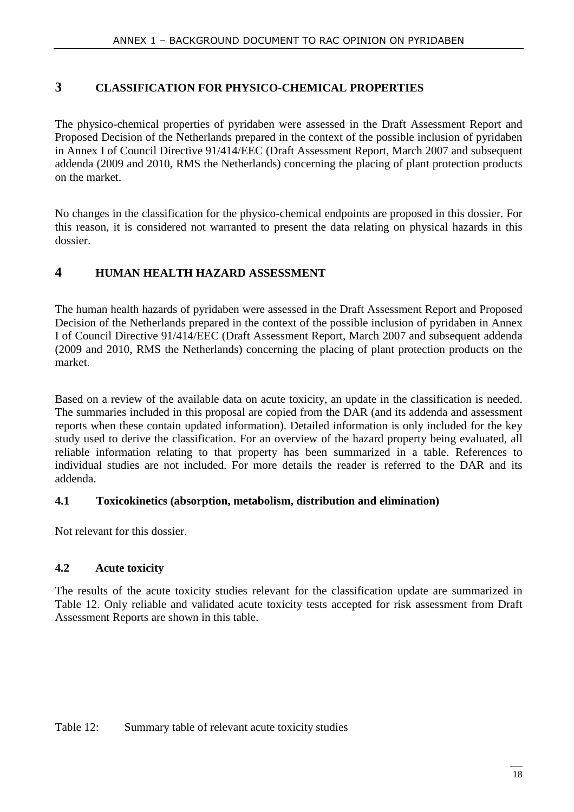#### **3 CLASSIFICATION FOR PHYSICO-CHEMICAL PROPERTIES**

The physico-chemical properties of pyridaben were assessed in the Draft Assessment Report and Proposed Decision of the Netherlands prepared in the context of the possible inclusion of pyridaben in Annex I of Council Directive 91/414/EEC (Draft Assessment Report, March 2007 and subsequent addenda (2009 and 2010, RMS the Netherlands) concerning the placing of plant protection products on the market.

No changes in the classification for the physico-chemical endpoints are proposed in this dossier. For this reason, it is considered not warranted to present the data relating on physical hazards in this dossier.

#### **4 HUMAN HEALTH HAZARD ASSESSMENT**

The human health hazards of pyridaben were assessed in the Draft Assessment Report and Proposed Decision of the Netherlands prepared in the context of the possible inclusion of pyridaben in Annex I of Council Directive 91/414/EEC (Draft Assessment Report, March 2007 and subsequent addenda (2009 and 2010, RMS the Netherlands) concerning the placing of plant protection products on the market.

Based on a review of the available data on acute toxicity, an update in the classification is needed. The summaries included in this proposal are copied from the DAR (and its addenda and assessment reports when these contain updated information). Detailed information is only included for the key study used to derive the classification. For an overview of the hazard property being evaluated, all reliable information relating to that property has been summarized in a table. References to individual studies are not included. For more details the reader is referred to the DAR and its addenda.

#### **4.1 Toxicokinetics (absorption, metabolism, distribution and elimination)**

Not relevant for this dossier.

#### **4.2 Acute toxicity**

The results of the acute toxicity studies relevant for the classification update are summarized in Table 12. Only reliable and validated acute toxicity tests accepted for risk assessment from Draft Assessment Reports are shown in this table.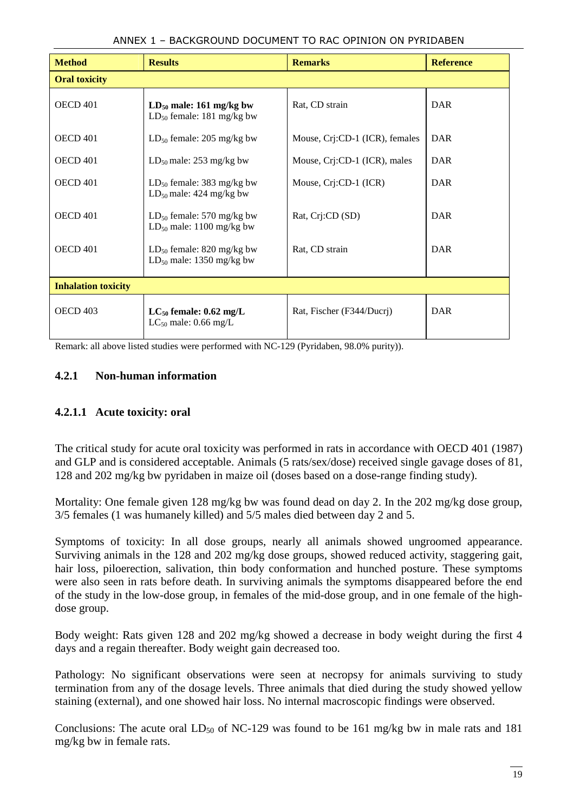| <b>Method</b>              | <b>Results</b>                                                  | <b>Remarks</b>                 | <b>Reference</b> |  |  |  |
|----------------------------|-----------------------------------------------------------------|--------------------------------|------------------|--|--|--|
| <b>Oral toxicity</b>       |                                                                 |                                |                  |  |  |  |
| OECD 401                   | $LD_{50}$ male: 161 mg/kg bw<br>$LD_{50}$ female: 181 mg/kg bw  | Rat, CD strain                 | DAR              |  |  |  |
| OECD 401                   | $LD_{50}$ female: 205 mg/kg bw                                  | Mouse, Crj:CD-1 (ICR), females | DAR              |  |  |  |
| OECD 401                   | $LD_{50}$ male: 253 mg/kg bw                                    | Mouse, Cri:CD-1 (ICR), males   | DAR              |  |  |  |
| OECD 401                   | $LD_{50}$ female: 383 mg/kg bw<br>$LD_{50}$ male: 424 mg/kg bw  | Mouse, Crj:CD-1 (ICR)          | DAR              |  |  |  |
| OECD 401                   | $LD_{50}$ female: 570 mg/kg bw<br>$LD_{50}$ male: 1100 mg/kg bw | Rat, Cri:CD (SD)               | DAR              |  |  |  |
| OECD 401                   | $LD_{50}$ female: 820 mg/kg bw<br>$LD_{50}$ male: 1350 mg/kg bw | Rat, CD strain                 | DAR              |  |  |  |
| <b>Inhalation toxicity</b> |                                                                 |                                |                  |  |  |  |
| OECD <sub>403</sub>        | $LC_{50}$ female: 0.62 mg/L<br>$LC_{50}$ male: 0.66 mg/L        | Rat, Fischer (F344/Ducri)      | DAR              |  |  |  |

#### ANNEX 1 – BACKGROUND DOCUMENT TO RAC OPINION ON PYRIDABEN

Remark: all above listed studies were performed with NC-129 (Pyridaben, 98.0% purity)).

#### **4.2.1 Non-human information**

#### **4.2.1.1 Acute toxicity: oral**

The critical study for acute oral toxicity was performed in rats in accordance with OECD 401 (1987) and GLP and is considered acceptable. Animals (5 rats/sex/dose) received single gavage doses of 81, 128 and 202 mg/kg bw pyridaben in maize oil (doses based on a dose-range finding study).

Mortality: One female given 128 mg/kg bw was found dead on day 2. In the 202 mg/kg dose group, 3/5 females (1 was humanely killed) and 5/5 males died between day 2 and 5.

Symptoms of toxicity: In all dose groups, nearly all animals showed ungroomed appearance. Surviving animals in the 128 and 202 mg/kg dose groups, showed reduced activity, staggering gait, hair loss, piloerection, salivation, thin body conformation and hunched posture. These symptoms were also seen in rats before death. In surviving animals the symptoms disappeared before the end of the study in the low-dose group, in females of the mid-dose group, and in one female of the highdose group.

Body weight: Rats given 128 and 202 mg/kg showed a decrease in body weight during the first 4 days and a regain thereafter. Body weight gain decreased too.

Pathology: No significant observations were seen at necropsy for animals surviving to study termination from any of the dosage levels. Three animals that died during the study showed yellow staining (external), and one showed hair loss. No internal macroscopic findings were observed.

Conclusions: The acute oral  $LD_{50}$  of NC-129 was found to be 161 mg/kg bw in male rats and 181 mg/kg bw in female rats.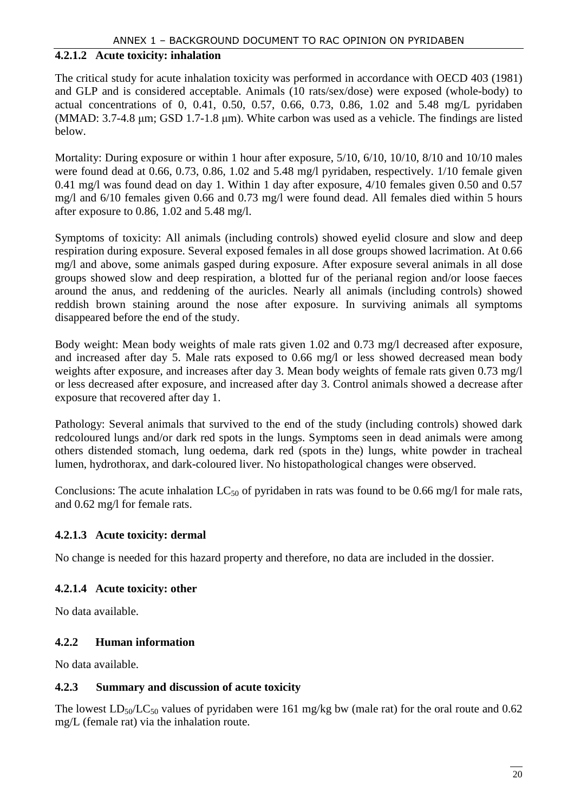#### **4.2.1.2 Acute toxicity: inhalation**

The critical study for acute inhalation toxicity was performed in accordance with OECD 403 (1981) and GLP and is considered acceptable. Animals (10 rats/sex/dose) were exposed (whole-body) to actual concentrations of 0, 0.41, 0.50, 0.57, 0.66, 0.73, 0.86, 1.02 and 5.48 mg/L pyridaben (MMAD: 3.7-4.8 µm; GSD 1.7-1.8 µm). White carbon was used as a vehicle. The findings are listed below.

Mortality: During exposure or within 1 hour after exposure, 5/10, 6/10, 10/10, 8/10 and 10/10 males were found dead at 0.66, 0.73, 0.86, 1.02 and 5.48 mg/l pyridaben, respectively. 1/10 female given 0.41 mg/l was found dead on day 1. Within 1 day after exposure, 4/10 females given 0.50 and 0.57 mg/l and 6/10 females given 0.66 and 0.73 mg/l were found dead. All females died within 5 hours after exposure to 0.86, 1.02 and 5.48 mg/l.

Symptoms of toxicity: All animals (including controls) showed eyelid closure and slow and deep respiration during exposure. Several exposed females in all dose groups showed lacrimation. At 0.66 mg/l and above, some animals gasped during exposure. After exposure several animals in all dose groups showed slow and deep respiration, a blotted fur of the perianal region and/or loose faeces around the anus, and reddening of the auricles. Nearly all animals (including controls) showed reddish brown staining around the nose after exposure. In surviving animals all symptoms disappeared before the end of the study.

Body weight: Mean body weights of male rats given 1.02 and 0.73 mg/l decreased after exposure, and increased after day 5. Male rats exposed to 0.66 mg/l or less showed decreased mean body weights after exposure, and increases after day 3. Mean body weights of female rats given 0.73 mg/l or less decreased after exposure, and increased after day 3. Control animals showed a decrease after exposure that recovered after day 1.

Pathology: Several animals that survived to the end of the study (including controls) showed dark redcoloured lungs and/or dark red spots in the lungs. Symptoms seen in dead animals were among others distended stomach, lung oedema, dark red (spots in the) lungs, white powder in tracheal lumen, hydrothorax, and dark-coloured liver. No histopathological changes were observed.

Conclusions: The acute inhalation  $LC_{50}$  of pyridaben in rats was found to be 0.66 mg/l for male rats, and 0.62 mg/l for female rats.

#### **4.2.1.3 Acute toxicity: dermal**

No change is needed for this hazard property and therefore, no data are included in the dossier.

#### **4.2.1.4 Acute toxicity: other**

No data available.

#### **4.2.2 Human information**

No data available.

#### **4.2.3 Summary and discussion of acute toxicity**

The lowest  $LD_{50}/LC_{50}$  values of pyridaben were 161 mg/kg bw (male rat) for the oral route and 0.62 mg/L (female rat) via the inhalation route.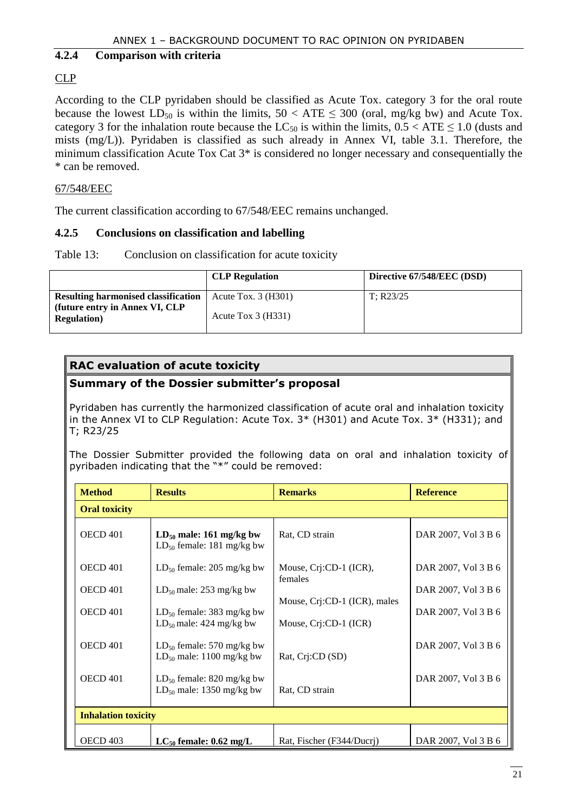#### **4.2.4 Comparison with criteria**

#### CLP

According to the CLP pyridaben should be classified as Acute Tox. category 3 for the oral route because the lowest  $LD_{50}$  is within the limits,  $50 < ATE \leq 300$  (oral, mg/kg bw) and Acute Tox. category 3 for the inhalation route because the  $LC_{50}$  is within the limits,  $0.5 < ATE \le 1.0$  (dusts and mists (mg/L)). Pyridaben is classified as such already in Annex VI, table 3.1. Therefore, the minimum classification Acute Tox Cat 3\* is considered no longer necessary and consequentially the \* can be removed.

#### 67/548/EEC

The current classification according to 67/548/EEC remains unchanged.

#### **4.2.5 Conclusions on classification and labelling**

Table 13: Conclusion on classification for acute toxicity

|                                                                              | <b>CLP</b> Regulation     | Directive 67/548/EEC (DSD) |
|------------------------------------------------------------------------------|---------------------------|----------------------------|
| <b>Resulting harmonised classification</b><br>(future entry in Annex VI, CLP | Acute Tox. $3$ (H $301$ ) | T: R23/25                  |
| <b>Regulation</b> )                                                          | Acute Tox $3$ (H331)      |                            |

#### **RAC evaluation of acute toxicity**

#### **Summary of the Dossier submitter's proposal**

Pyridaben has currently the harmonized classification of acute oral and inhalation toxicity in the Annex VI to CLP Regulation: Acute Tox. 3\* (H301) and Acute Tox. 3\* (H331); and T; R23/25

The Dossier Submitter provided the following data on oral and inhalation toxicity of pyribaden indicating that the "\*" could be removed:

| <b>Method</b>        | <b>Results</b>                                                  | <b>Remarks</b>                                        | <b>Reference</b>    |  |  |  |
|----------------------|-----------------------------------------------------------------|-------------------------------------------------------|---------------------|--|--|--|
| <b>Oral toxicity</b> |                                                                 |                                                       |                     |  |  |  |
| OECD 401             | $LD_{50}$ male: 161 mg/kg bw<br>$LD_{50}$ female: 181 mg/kg bw  | Rat, CD strain                                        | DAR 2007, Vol 3 B 6 |  |  |  |
| OECD <sub>401</sub>  | $LD_{50}$ female: 205 mg/kg bw                                  | Mouse, Crj:CD-1 (ICR),<br>females                     | DAR 2007, Vol 3 B 6 |  |  |  |
| OECD 401             | $LD_{50}$ male: 253 mg/kg bw                                    |                                                       | DAR 2007, Vol 3 B 6 |  |  |  |
| OECD 401             | $LD_{50}$ female: 383 mg/kg bw<br>$LD_{50}$ male: 424 mg/kg bw  | Mouse, Crj:CD-1 (ICR), males<br>Mouse, Crj:CD-1 (ICR) | DAR 2007, Vol 3 B 6 |  |  |  |
| OECD 401             | $LD_{50}$ female: 570 mg/kg bw<br>$LD_{50}$ male: 1100 mg/kg bw | Rat, Crj:CD (SD)                                      | DAR 2007, Vol 3 B 6 |  |  |  |
| OECD 401             | $LD_{50}$ female: 820 mg/kg bw<br>$LD_{50}$ male: 1350 mg/kg bw | Rat, CD strain                                        | DAR 2007, Vol 3 B 6 |  |  |  |
|                      | <b>Inhalation toxicity</b>                                      |                                                       |                     |  |  |  |
| OECD <sub>403</sub>  | $LC_{50}$ female: 0.62 mg/L                                     | Rat, Fischer (F344/Ducri)                             | DAR 2007, Vol 3 B 6 |  |  |  |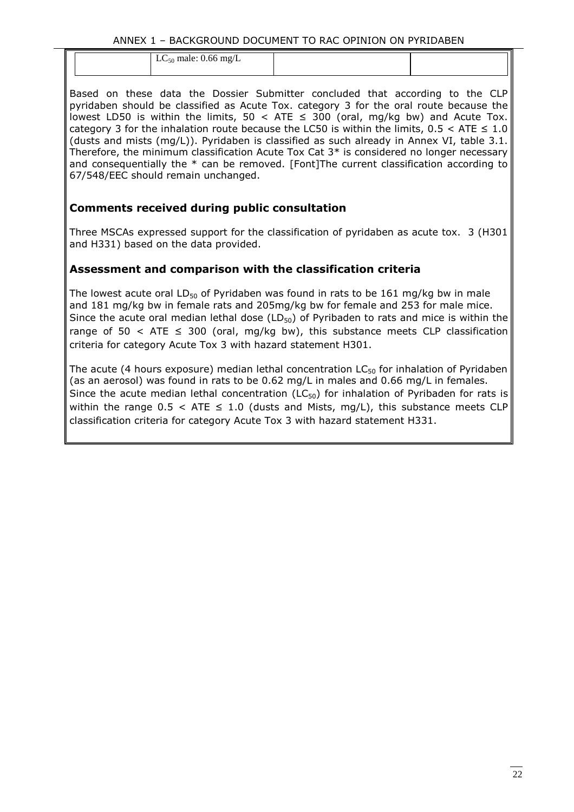| $LC_{50}$ male: 0.66 mg/L |  |
|---------------------------|--|
|                           |  |
|                           |  |
|                           |  |

Based on these data the Dossier Submitter concluded that according to the CLP pyridaben should be classified as Acute Tox. category 3 for the oral route because the lowest LD50 is within the limits,  $50 <$  ATE  $\leq$  300 (oral, mg/kg bw) and Acute Tox. category 3 for the inhalation route because the LC50 is within the limits,  $0.5 <$  ATE  $\leq 1.0$ (dusts and mists (mg/L)). Pyridaben is classified as such already in Annex VI, table 3.1. Therefore, the minimum classification Acute Tox Cat 3\* is considered no longer necessary and consequentially the \* can be removed. [Font]The current classification according to 67/548/EEC should remain unchanged.

#### **Comments received during public consultation**

Three MSCAs expressed support for the classification of pyridaben as acute tox. 3 (H301 and H331) based on the data provided.

#### **Assessment and comparison with the classification criteria**

The lowest acute oral LD<sub>50</sub> of Pyridaben was found in rats to be 161 mg/kg bw in male and 181 mg/kg bw in female rats and 205mg/kg bw for female and 253 for male mice. Since the acute oral median lethal dose ( $LD_{50}$ ) of Pyribaden to rats and mice is within the range of 50 < ATE  $\leq$  300 (oral, mg/kg bw), this substance meets CLP classification criteria for category Acute Tox 3 with hazard statement H301.

The acute (4 hours exposure) median lethal concentration  $LC_{50}$  for inhalation of Pyridaben (as an aerosol) was found in rats to be 0.62 mg/L in males and 0.66 mg/L in females. Since the acute median lethal concentration ( $LC_{50}$ ) for inhalation of Pyribaden for rats is within the range  $0.5 <$  ATE  $\leq 1.0$  (dusts and Mists, mg/L), this substance meets CLP classification criteria for category Acute Tox 3 with hazard statement H331.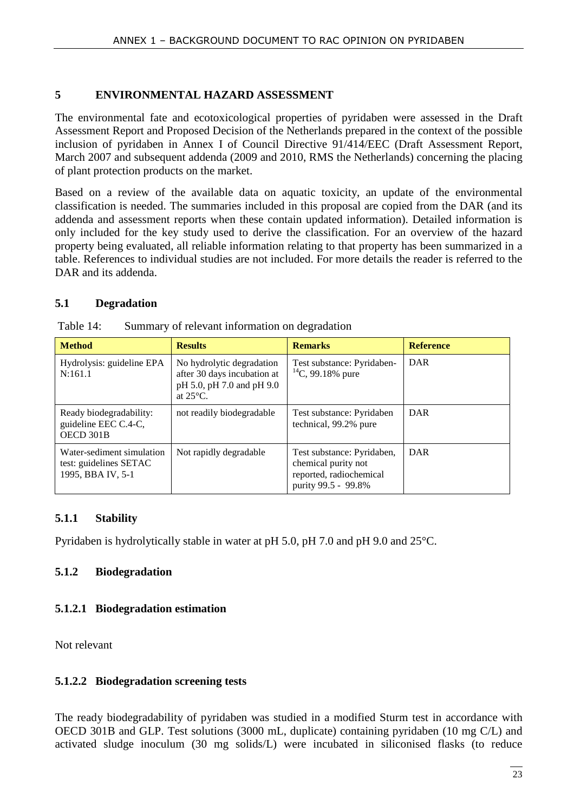#### **5 ENVIRONMENTAL HAZARD ASSESSMENT**

The environmental fate and ecotoxicological properties of pyridaben were assessed in the Draft Assessment Report and Proposed Decision of the Netherlands prepared in the context of the possible inclusion of pyridaben in Annex I of Council Directive 91/414/EEC (Draft Assessment Report, March 2007 and subsequent addenda (2009 and 2010, RMS the Netherlands) concerning the placing of plant protection products on the market.

Based on a review of the available data on aquatic toxicity, an update of the environmental classification is needed. The summaries included in this proposal are copied from the DAR (and its addenda and assessment reports when these contain updated information). Detailed information is only included for the key study used to derive the classification. For an overview of the hazard property being evaluated, all reliable information relating to that property has been summarized in a table. References to individual studies are not included. For more details the reader is referred to the DAR and its addenda.

#### **5.1 Degradation**

| <b>Method</b>                                                            | <b>Results</b>                                                                                              | <b>Remarks</b>                                                                                      | <b>Reference</b> |
|--------------------------------------------------------------------------|-------------------------------------------------------------------------------------------------------------|-----------------------------------------------------------------------------------------------------|------------------|
| Hydrolysis: guideline EPA<br>N:161.1                                     | No hydrolytic degradation<br>after 30 days incubation at<br>pH 5.0, pH 7.0 and pH 9.0<br>at $25^{\circ}$ C. | Test substance: Pyridaben-<br>$^{14}$ C, 99.18% pure                                                | DAR              |
| Ready biodegradability:<br>guideline EEC C.4-C,<br>OECD 301B             | not readily biodegradable                                                                                   | Test substance: Pyridaben<br>technical, 99.2% pure                                                  | DAR              |
| Water-sediment simulation<br>test: guidelines SETAC<br>1995, BBA IV, 5-1 | Not rapidly degradable                                                                                      | Test substance: Pyridaben,<br>chemical purity not<br>reported, radiochemical<br>purity 99.5 - 99.8% | DAR              |

| Table 14: |  | Summary of relevant information on degradation |
|-----------|--|------------------------------------------------|
|           |  |                                                |

#### **5.1.1 Stability**

Pyridaben is hydrolytically stable in water at pH 5.0, pH 7.0 and pH 9.0 and 25°C.

#### **5.1.2 Biodegradation**

#### **5.1.2.1 Biodegradation estimation**

Not relevant

#### **5.1.2.2 Biodegradation screening tests**

The ready biodegradability of pyridaben was studied in a modified Sturm test in accordance with OECD 301B and GLP. Test solutions (3000 mL, duplicate) containing pyridaben (10 mg C/L) and activated sludge inoculum (30 mg solids/L) were incubated in siliconised flasks (to reduce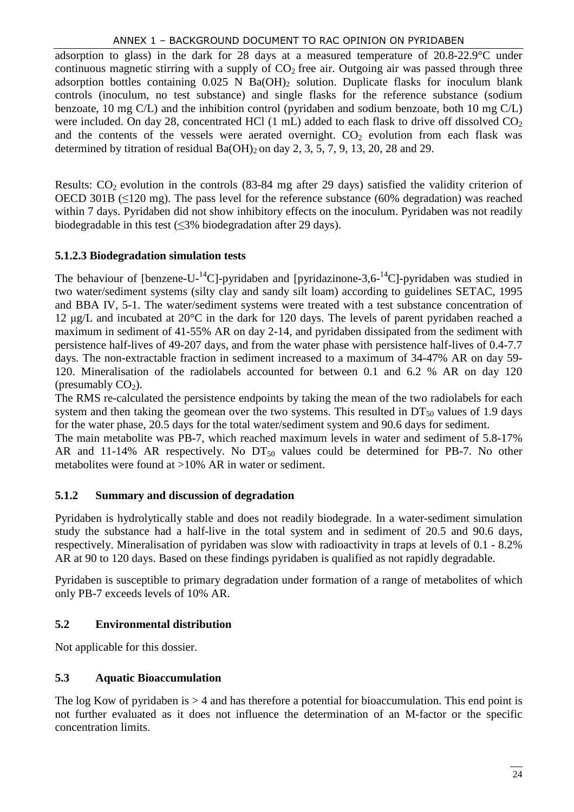#### ANNEX 1 – BACKGROUND DOCUMENT TO RAC OPINION ON PYRIDABEN

adsorption to glass) in the dark for 28 days at a measured temperature of 20.8-22.9°C under continuous magnetic stirring with a supply of  $CO<sub>2</sub>$  free air. Outgoing air was passed through three adsorption bottles containing  $0.025$  N Ba(OH)<sub>2</sub> solution. Duplicate flasks for inoculum blank controls (inoculum, no test substance) and single flasks for the reference substance (sodium benzoate, 10 mg C/L) and the inhibition control (pyridaben and sodium benzoate, both 10 mg C/L) were included. On day 28, concentrated HCl  $(1 \text{ mL})$  added to each flask to drive off dissolved  $CO<sub>2</sub>$ and the contents of the vessels were aerated overnight.  $CO<sub>2</sub>$  evolution from each flask was determined by titration of residual  $Ba(OH)_2$  on day 2, 3, 5, 7, 9, 13, 20, 28 and 29.

Results:  $CO<sub>2</sub>$  evolution in the controls (83-84 mg after 29 days) satisfied the validity criterion of OECD 301B ( $\leq$ 120 mg). The pass level for the reference substance (60% degradation) was reached within 7 days. Pyridaben did not show inhibitory effects on the inoculum. Pyridaben was not readily biodegradable in this test  $(\leq 3\%$  biodegradation after 29 days).

#### **5.1.2.3 Biodegradation simulation tests**

The behaviour of [benzene-U-<sup>14</sup>C]-pyridaben and [pyridazinone-3,6-<sup>14</sup>C]-pyridaben was studied in two water/sediment systems (silty clay and sandy silt loam) according to guidelines SETAC, 1995 and BBA IV, 5-1. The water/sediment systems were treated with a test substance concentration of 12 µg/L and incubated at 20°C in the dark for 120 days. The levels of parent pyridaben reached a maximum in sediment of 41-55% AR on day 2-14, and pyridaben dissipated from the sediment with persistence half-lives of 49-207 days, and from the water phase with persistence half-lives of 0.4-7.7 days. The non-extractable fraction in sediment increased to a maximum of 34-47% AR on day 59- 120. Mineralisation of the radiolabels accounted for between 0.1 and 6.2 % AR on day 120 (presumably  $CO<sub>2</sub>$ ).

The RMS re-calculated the persistence endpoints by taking the mean of the two radiolabels for each system and then taking the geomean over the two systems. This resulted in  $DT<sub>50</sub>$  values of 1.9 days for the water phase, 20.5 days for the total water/sediment system and 90.6 days for sediment.

The main metabolite was PB-7, which reached maximum levels in water and sediment of 5.8-17% AR and 11-14% AR respectively. No  $DT_{50}$  values could be determined for PB-7. No other metabolites were found at >10% AR in water or sediment.

#### **5.1.2 Summary and discussion of degradation**

Pyridaben is hydrolytically stable and does not readily biodegrade. In a water-sediment simulation study the substance had a half-live in the total system and in sediment of 20.5 and 90.6 days, respectively. Mineralisation of pyridaben was slow with radioactivity in traps at levels of 0.1 - 8.2% AR at 90 to 120 days. Based on these findings pyridaben is qualified as not rapidly degradable.

Pyridaben is susceptible to primary degradation under formation of a range of metabolites of which only PB-7 exceeds levels of 10% AR.

#### **5.2 Environmental distribution**

Not applicable for this dossier.

#### **5.3 Aquatic Bioaccumulation**

The log Kow of pyridaben is  $> 4$  and has therefore a potential for bioaccumulation. This end point is not further evaluated as it does not influence the determination of an M-factor or the specific concentration limits.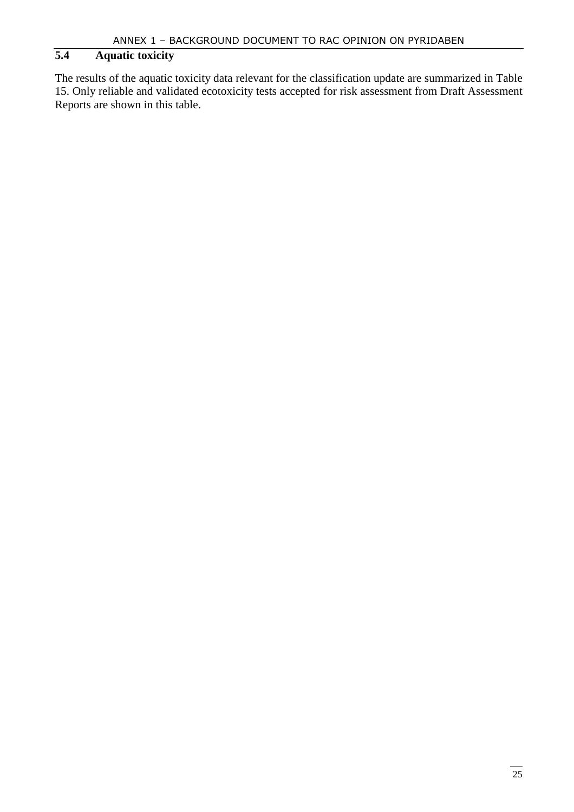#### **5.4 Aquatic toxicity**

The results of the aquatic toxicity data relevant for the classification update are summarized in Table 15. Only reliable and validated ecotoxicity tests accepted for risk assessment from Draft Assessment Reports are shown in this table.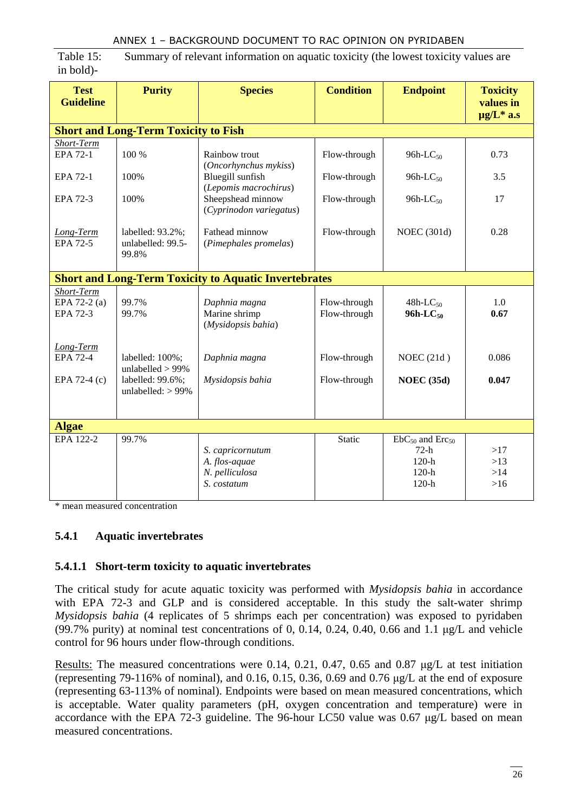Table 15: Summary of relevant information on aquatic toxicity (the lowest toxicity values are in bold)-

| <b>Test</b><br><b>Guideline</b>                | <b>Purity</b>                                                                         | <b>Species</b>                                                     | <b>Condition</b>             | <b>Endpoint</b>                                                | <b>Toxicity</b><br>values in<br>$\mu$ g/L <sup>*</sup> a.s |  |  |  |
|------------------------------------------------|---------------------------------------------------------------------------------------|--------------------------------------------------------------------|------------------------------|----------------------------------------------------------------|------------------------------------------------------------|--|--|--|
|                                                | <b>Short and Long-Term Toxicity to Fish</b>                                           |                                                                    |                              |                                                                |                                                            |  |  |  |
| Short-Term                                     |                                                                                       |                                                                    |                              |                                                                |                                                            |  |  |  |
| EPA 72-1                                       | 100 %                                                                                 | Rainbow trout<br>(Oncorhynchus mykiss)                             | Flow-through                 | 96h- $LC_{50}$                                                 | 0.73                                                       |  |  |  |
| EPA 72-1                                       | 100%                                                                                  | Bluegill sunfish<br>(Lepomis macrochirus)                          | Flow-through                 | 96h-L $C_{50}$                                                 | 3.5                                                        |  |  |  |
| EPA 72-3                                       | 100%                                                                                  | Sheepshead minnow<br>(Cyprinodon variegatus)                       | Flow-through                 | 96h-L $C_{50}$                                                 | 17                                                         |  |  |  |
| Long-Term<br>EPA 72-5                          | labelled: $93.2\%$ ;<br>unlabelled: 99.5-<br>99.8%                                    | Fathead minnow<br>(Pimephales promelas)                            | Flow-through                 | <b>NOEC</b> (301d)                                             | 0.28                                                       |  |  |  |
|                                                |                                                                                       | <b>Short and Long-Term Toxicity to Aquatic Invertebrates</b>       |                              |                                                                |                                                            |  |  |  |
| Short-Term<br>EPA 72-2 (a)<br><b>EPA 72-3</b>  | 99.7%<br>99.7%                                                                        | Daphnia magna<br>Marine shrimp<br>(Mysidopsis bahia)               | Flow-through<br>Flow-through | $48h$ -LC <sub>50</sub><br>$96h-LC_{50}$                       | 1.0<br>0.67                                                |  |  |  |
| Long-Term<br><b>EPA 72-4</b><br>EPA 72-4 $(c)$ | labelled: $100\%$ ;<br>unlabelled $> 99\%$<br>labelled: 99.6%;<br>unlabelled: $>99\%$ | Daphnia magna<br>Mysidopsis bahia                                  | Flow-through<br>Flow-through | NOEC $(21d)$<br><b>NOEC</b> (35d)                              | 0.086<br>0.047                                             |  |  |  |
|                                                |                                                                                       |                                                                    |                              |                                                                |                                                            |  |  |  |
| <b>Algae</b>                                   |                                                                                       |                                                                    |                              |                                                                |                                                            |  |  |  |
| EPA 122-2                                      | 99.7%                                                                                 | S. capricornutum<br>A. flos-aquae<br>N. pelliculosa<br>S. costatum | Static                       | $EbC50$ and $Erc50$<br>$72-h$<br>$120-h$<br>$120-h$<br>$120-h$ | >17<br>>13<br>>14<br>$>16$                                 |  |  |  |

\* mean measured concentration

#### **5.4.1 Aquatic invertebrates**

#### **5.4.1.1 Short-term toxicity to aquatic invertebrates**

The critical study for acute aquatic toxicity was performed with *Mysidopsis bahia* in accordance with EPA 72-3 and GLP and is considered acceptable. In this study the salt-water shrimp *Mysidopsis bahia* (4 replicates of 5 shrimps each per concentration) was exposed to pyridaben (99.7% purity) at nominal test concentrations of 0, 0.14, 0.24, 0.40, 0.66 and 1.1 µg/L and vehicle control for 96 hours under flow-through conditions.

Results: The measured concentrations were 0.14, 0.21, 0.47, 0.65 and 0.87  $\mu$ g/L at test initiation (representing 79-116% of nominal), and 0.16, 0.15, 0.36, 0.69 and 0.76 µg/L at the end of exposure (representing 63-113% of nominal). Endpoints were based on mean measured concentrations, which is acceptable. Water quality parameters (pH, oxygen concentration and temperature) were in accordance with the EPA 72-3 guideline. The 96-hour LC50 value was 0.67 µg/L based on mean measured concentrations.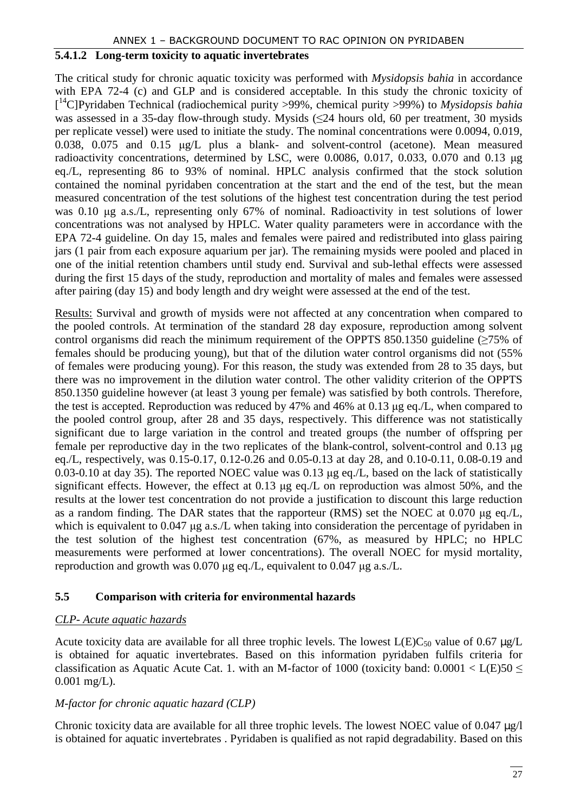#### **5.4.1.2 Long-term toxicity to aquatic invertebrates**

The critical study for chronic aquatic toxicity was performed with *Mysidopsis bahia* in accordance with EPA 72-4 (c) and GLP and is considered acceptable. In this study the chronic toxicity of [ <sup>14</sup>C]Pyridaben Technical (radiochemical purity >99%, chemical purity >99%) to *Mysidopsis bahia* was assessed in a 35-day flow-through study. Mysids  $(\leq 24$  hours old, 60 per treatment, 30 mysids per replicate vessel) were used to initiate the study. The nominal concentrations were 0.0094, 0.019, 0.038, 0.075 and 0.15 µg/L plus a blank- and solvent-control (acetone). Mean measured radioactivity concentrations, determined by LSC, were 0.0086, 0.017, 0.033, 0.070 and 0.13 µg eq./L, representing 86 to 93% of nominal. HPLC analysis confirmed that the stock solution contained the nominal pyridaben concentration at the start and the end of the test, but the mean measured concentration of the test solutions of the highest test concentration during the test period was 0.10 µg a.s./L, representing only 67% of nominal. Radioactivity in test solutions of lower concentrations was not analysed by HPLC. Water quality parameters were in accordance with the EPA 72-4 guideline. On day 15, males and females were paired and redistributed into glass pairing jars (1 pair from each exposure aquarium per jar). The remaining mysids were pooled and placed in one of the initial retention chambers until study end. Survival and sub-lethal effects were assessed during the first 15 days of the study, reproduction and mortality of males and females were assessed after pairing (day 15) and body length and dry weight were assessed at the end of the test.

Results: Survival and growth of mysids were not affected at any concentration when compared to the pooled controls. At termination of the standard 28 day exposure, reproduction among solvent control organisms did reach the minimum requirement of the OPPTS 850.1350 guideline ( $\geq$ 75% of females should be producing young), but that of the dilution water control organisms did not (55% of females were producing young). For this reason, the study was extended from 28 to 35 days, but there was no improvement in the dilution water control. The other validity criterion of the OPPTS 850.1350 guideline however (at least 3 young per female) was satisfied by both controls. Therefore, the test is accepted. Reproduction was reduced by 47% and 46% at 0.13 µg eq./L, when compared to the pooled control group, after 28 and 35 days, respectively. This difference was not statistically significant due to large variation in the control and treated groups (the number of offspring per female per reproductive day in the two replicates of the blank-control, solvent-control and 0.13 µg eq./L, respectively, was 0.15-0.17, 0.12-0.26 and 0.05-0.13 at day 28, and 0.10-0.11, 0.08-0.19 and 0.03-0.10 at day 35). The reported NOEC value was 0.13 µg eq./L, based on the lack of statistically significant effects. However, the effect at 0.13 µg eq./L on reproduction was almost 50%, and the results at the lower test concentration do not provide a justification to discount this large reduction as a random finding. The DAR states that the rapporteur (RMS) set the NOEC at 0.070 µg eq./L, which is equivalent to 0.047 µg a.s./L when taking into consideration the percentage of pyridaben in the test solution of the highest test concentration (67%, as measured by HPLC; no HPLC measurements were performed at lower concentrations). The overall NOEC for mysid mortality, reproduction and growth was 0.070 µg eq./L, equivalent to 0.047 µg a.s./L.

#### **5.5 Comparison with criteria for environmental hazards**

#### *CLP- Acute aquatic hazards*

Acute toxicity data are available for all three trophic levels. The lowest  $L(E)C_{50}$  value of 0.67  $\mu$ g/L is obtained for aquatic invertebrates. Based on this information pyridaben fulfils criteria for classification as Aquatic Acute Cat. 1. with an M-factor of 1000 (toxicity band:  $0.0001 < L(E)50 \le$ 0.001 mg/L).

#### *M-factor for chronic aquatic hazard (CLP)*

Chronic toxicity data are available for all three trophic levels. The lowest NOEC value of 0.047  $\mu$ g/l is obtained for aquatic invertebrates . Pyridaben is qualified as not rapid degradability. Based on this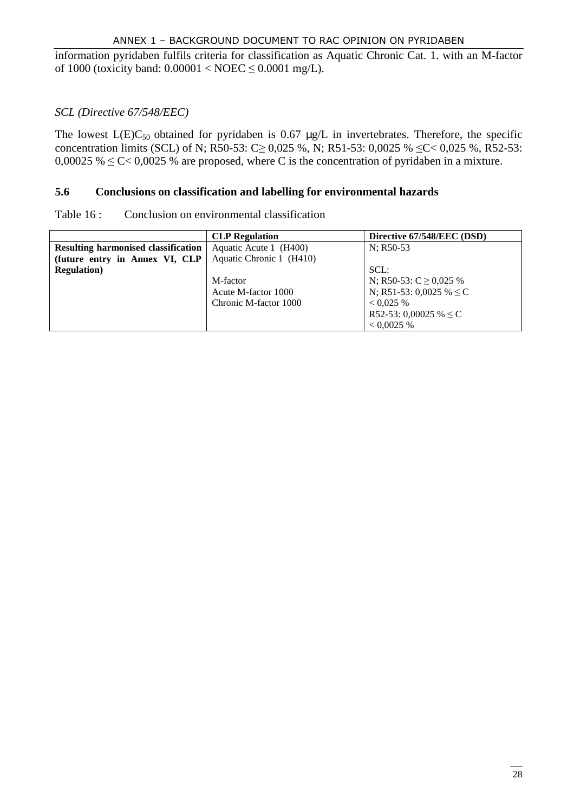information pyridaben fulfils criteria for classification as Aquatic Chronic Cat. 1. with an M-factor of 1000 (toxicity band:  $0.00001 < \text{NOEC} \leq 0.0001$  mg/L).

#### *SCL (Directive 67/548/EEC)*

The lowest  $L(E)C_{50}$  obtained for pyridaben is 0.67  $\mu$ g/L in invertebrates. Therefore, the specific concentration limits (SCL) of N; R50-53: C  $\geq 0.025$  %, N; R51-53: 0.0025 %  $\leq C < 0.025$  %, R52-53: 0,00025 %  $\leq$  C $\leq$  0,0025 % are proposed, where C is the concentration of pyridaben in a mixture.

#### **5.6 Conclusions on classification and labelling for environmental hazards**

| Table 16: |  | Conclusion on environmental classification |  |
|-----------|--|--------------------------------------------|--|
|-----------|--|--------------------------------------------|--|

|                                            | <b>CLP</b> Regulation    | Directive 67/548/EEC (DSD)   |
|--------------------------------------------|--------------------------|------------------------------|
| <b>Resulting harmonised classification</b> | Aquatic Acute 1 (H400)   | $N$ ; R50-53                 |
| (future entry in Annex VI, CLP             | Aquatic Chronic 1 (H410) |                              |
| <b>Regulation</b> )                        |                          | SCL:                         |
|                                            | M-factor                 | N; R50-53: C $\geq$ 0,025 %  |
|                                            | Acute M-factor 1000      | N; R51-53: 0,0025 % $\leq$ C |
|                                            | Chronic M-factor 1000    | < 0.025 %                    |
|                                            |                          | R52-53: 0,00025 % $\leq$ C   |
|                                            |                          | < 0.0025 %                   |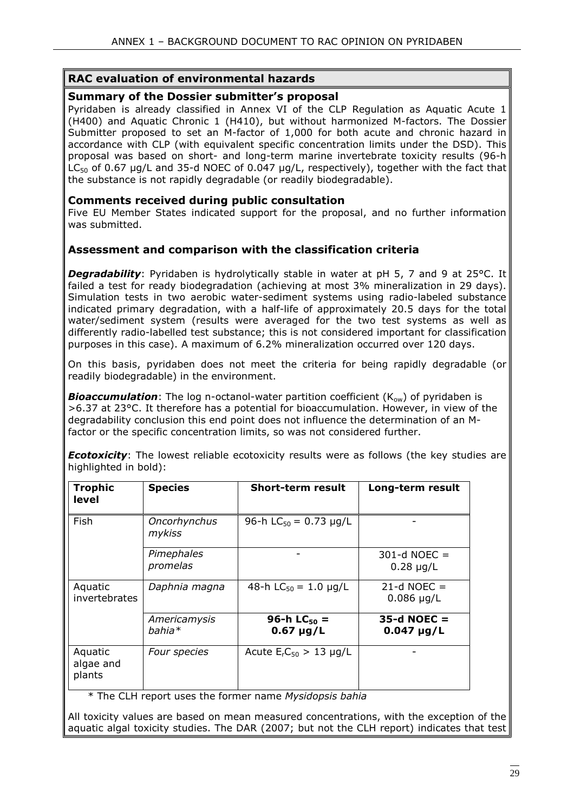#### **RAC evaluation of environmental hazards**

#### **Summary of the Dossier submitter's proposal**

Pyridaben is already classified in Annex VI of the CLP Regulation as Aquatic Acute 1 (H400) and Aquatic Chronic 1 (H410), but without harmonized M-factors. The Dossier Submitter proposed to set an M-factor of 1,000 for both acute and chronic hazard in accordance with CLP (with equivalent specific concentration limits under the DSD). This proposal was based on short- and long-term marine invertebrate toxicity results (96-h LC $50$  of 0.67 µg/L and 35-d NOEC of 0.047 µg/L, respectively), together with the fact that the substance is not rapidly degradable (or readily biodegradable).

#### **Comments received during public consultation**

Five EU Member States indicated support for the proposal, and no further information was submitted.

#### **Assessment and comparison with the classification criteria**

**Degradability**: Pyridaben is hydrolytically stable in water at pH 5, 7 and 9 at 25°C. It failed a test for ready biodegradation (achieving at most 3% mineralization in 29 days). Simulation tests in two aerobic water-sediment systems using radio-labeled substance indicated primary degradation, with a half-life of approximately 20.5 days for the total water/sediment system (results were averaged for the two test systems as well as differently radio-labelled test substance; this is not considered important for classification purposes in this case). A maximum of 6.2% mineralization occurred over 120 days.

On this basis, pyridaben does not meet the criteria for being rapidly degradable (or readily biodegradable) in the environment.

**Bioaccumulation**: The log n-octanol-water partition coefficient (K<sub>ow</sub>) of pyridaben is >6.37 at 23°C. It therefore has a potential for bioaccumulation. However, in view of the degradability conclusion this end point does not influence the determination of an Mfactor or the specific concentration limits, so was not considered further.

*Ecotoxicity*: The lowest reliable ecotoxicity results were as follows (the key studies are highlighted in bold):

| <b>Trophic</b><br>level        | <b>Species</b>           | <b>Short-term result</b>                  | Long-term result                 |
|--------------------------------|--------------------------|-------------------------------------------|----------------------------------|
| Fish                           | Oncorhynchus<br>mykiss   | 96-h $LC_{50} = 0.73 \mu g/L$             |                                  |
|                                | Pimephales<br>promelas   |                                           | $301-d$ NOEC =<br>$0.28 \mu g/L$ |
| Aquatic<br>invertebrates       | Daphnia magna            | 48-h $LC_{50} = 1.0 \mu g/L$              | $21-d$ NOEC =<br>$0.086$ µg/L    |
|                                | Americamysis<br>$bahia*$ | 96-h LC <sub>50</sub> =<br>$0.67 \mu g/L$ | $35-d$ NOEC =<br>$0.047 \mu g/L$ |
| Aquatic<br>algae and<br>plants | Four species             | Acute $ErC50 > 13$ µg/L                   |                                  |

\* The CLH report uses the former name *Mysidopsis bahia*

All toxicity values are based on mean measured concentrations, with the exception of the aquatic algal toxicity studies. The DAR (2007; but not the CLH report) indicates that test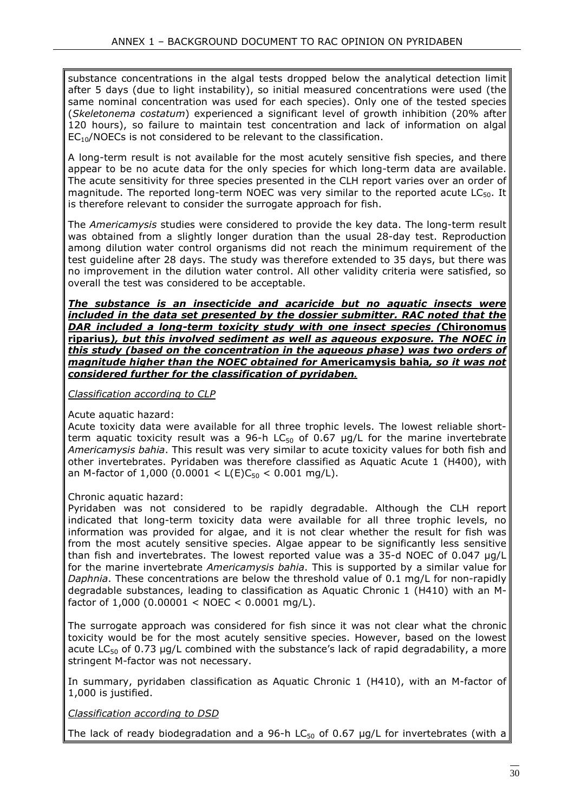substance concentrations in the algal tests dropped below the analytical detection limit after 5 days (due to light instability), so initial measured concentrations were used (the same nominal concentration was used for each species). Only one of the tested species (*Skeletonema costatum*) experienced a significant level of growth inhibition (20% after 120 hours), so failure to maintain test concentration and lack of information on algal  $EC_{10}/NOECs$  is not considered to be relevant to the classification.

A long-term result is not available for the most acutely sensitive fish species, and there appear to be no acute data for the only species for which long-term data are available. The acute sensitivity for three species presented in the CLH report varies over an order of magnitude. The reported long-term NOEC was very similar to the reported acute  $LC_{50}$ . It is therefore relevant to consider the surrogate approach for fish.

The *Americamysis* studies were considered to provide the key data. The long-term result was obtained from a slightly longer duration than the usual 28-day test. Reproduction among dilution water control organisms did not reach the minimum requirement of the test guideline after 28 days. The study was therefore extended to 35 days, but there was no improvement in the dilution water control. All other validity criteria were satisfied, so overall the test was considered to be acceptable.

*The substance is an insecticide and acaricide but no aquatic insects were*  included in the data set presented by the dossier submitter. RAC noted that the *DAR included a long-term toxicity study with one insect species (***Chironomus riparius***), but this involved sediment as well as aqueous exposure. The NOEC in this study (based on the concentration in the aqueous phase) was two orders of magnitude higher than the NOEC obtained for* **Americamysis bahia***, so it was not considered further for the classification of pyridaben***.** 

*Classification according to CLP* 

Acute aquatic hazard:

Acute toxicity data were available for all three trophic levels. The lowest reliable shortterm aquatic toxicity result was a 96-h  $LC_{50}$  of 0.67  $\mu$ g/L for the marine invertebrate *Americamysis bahia*. This result was very similar to acute toxicity values for both fish and other invertebrates. Pyridaben was therefore classified as Aquatic Acute 1 (H400), with an M-factor of 1,000 (0.0001 <  $L(E)C_{50}$  < 0.001 mg/L).

Chronic aquatic hazard:

Pyridaben was not considered to be rapidly degradable. Although the CLH report indicated that long-term toxicity data were available for all three trophic levels, no information was provided for algae, and it is not clear whether the result for fish was from the most acutely sensitive species. Algae appear to be significantly less sensitive than fish and invertebrates. The lowest reported value was a 35-d NOEC of 0.047 µg/L for the marine invertebrate *Americamysis bahia*. This is supported by a similar value for *Daphnia*. These concentrations are below the threshold value of 0.1 mg/L for non-rapidly degradable substances, leading to classification as Aquatic Chronic 1 (H410) with an Mfactor of  $1,000$  (0.00001 < NOEC < 0.0001 mg/L).

The surrogate approach was considered for fish since it was not clear what the chronic toxicity would be for the most acutely sensitive species. However, based on the lowest acute  $LC_{50}$  of 0.73 µg/L combined with the substance's lack of rapid degradability, a more stringent M-factor was not necessary.

In summary, pyridaben classification as Aquatic Chronic 1 (H410), with an M-factor of 1,000 is justified.

*Classification according to DSD* 

The lack of ready biodegradation and a 96-h LC $_{50}$  of 0.67  $\mu$ g/L for invertebrates (with a